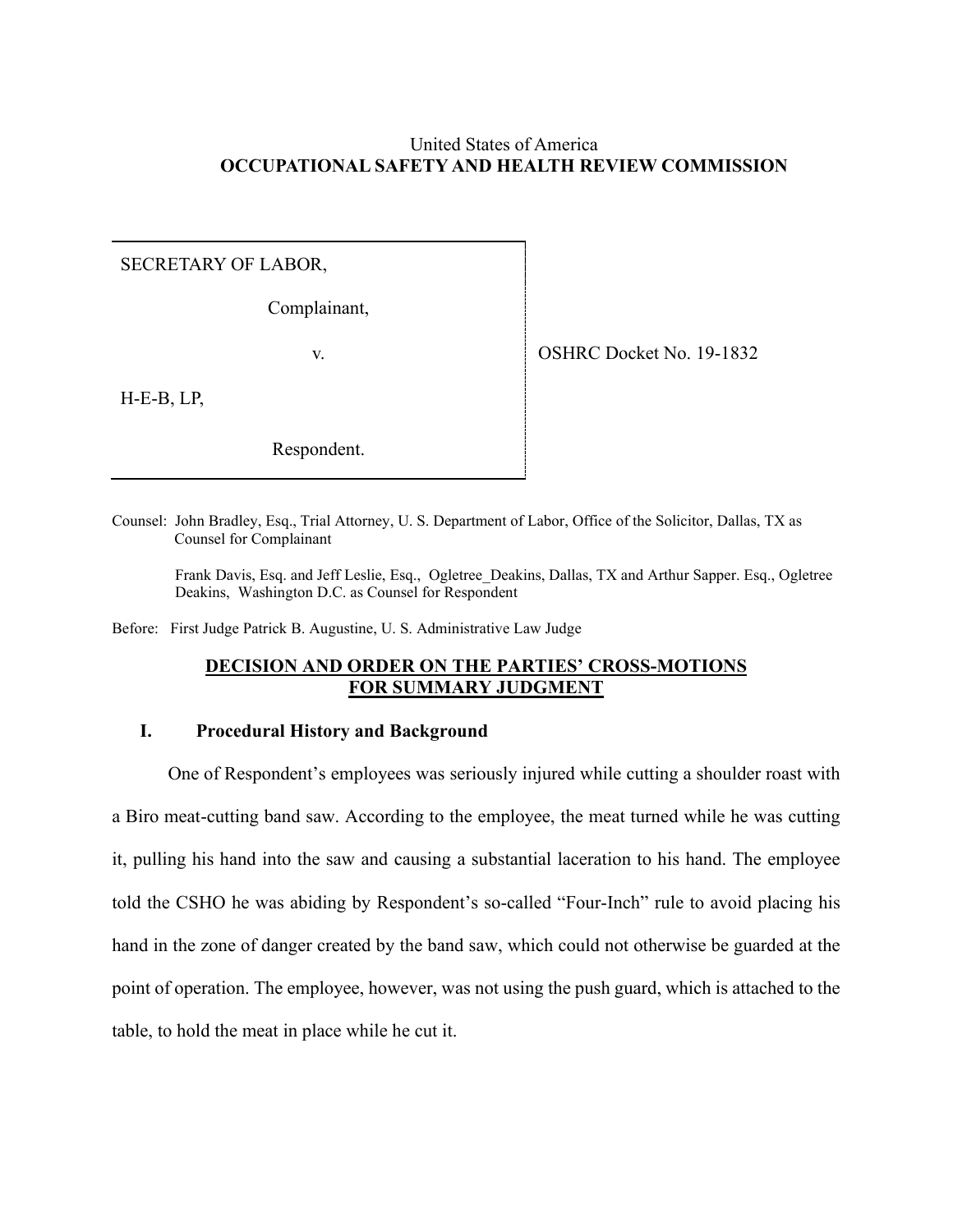# United States of America **OCCUPATIONAL SAFETY AND HEALTH REVIEW COMMISSION**

## SECRETARY OF LABOR,

Complainant,

v. SHRC Docket No. 19-1832

H-E-B, LP,

Respondent.

Counsel: John Bradley, Esq., Trial Attorney, U. S. Department of Labor, Office of the Solicitor, Dallas, TX as Counsel for Complainant

Frank Davis, Esq. and Jeff Leslie, Esq., Ogletree\_Deakins, Dallas, TX and Arthur Sapper. Esq., Ogletree Deakins, Washington D.C. as Counsel for Respondent

Before: First Judge Patrick B. Augustine, U. S. Administrative Law Judge

# **DECISION AND ORDER ON THE PARTIES' CROSS-MOTIONS FOR SUMMARY JUDGMENT**

## **I. Procedural History and Background**

One of Respondent's employees was seriously injured while cutting a shoulder roast with a Biro meat-cutting band saw. According to the employee, the meat turned while he was cutting it, pulling his hand into the saw and causing a substantial laceration to his hand. The employee told the CSHO he was abiding by Respondent's so-called "Four-Inch" rule to avoid placing his hand in the zone of danger created by the band saw, which could not otherwise be guarded at the point of operation. The employee, however, was not using the push guard, which is attached to the table, to hold the meat in place while he cut it.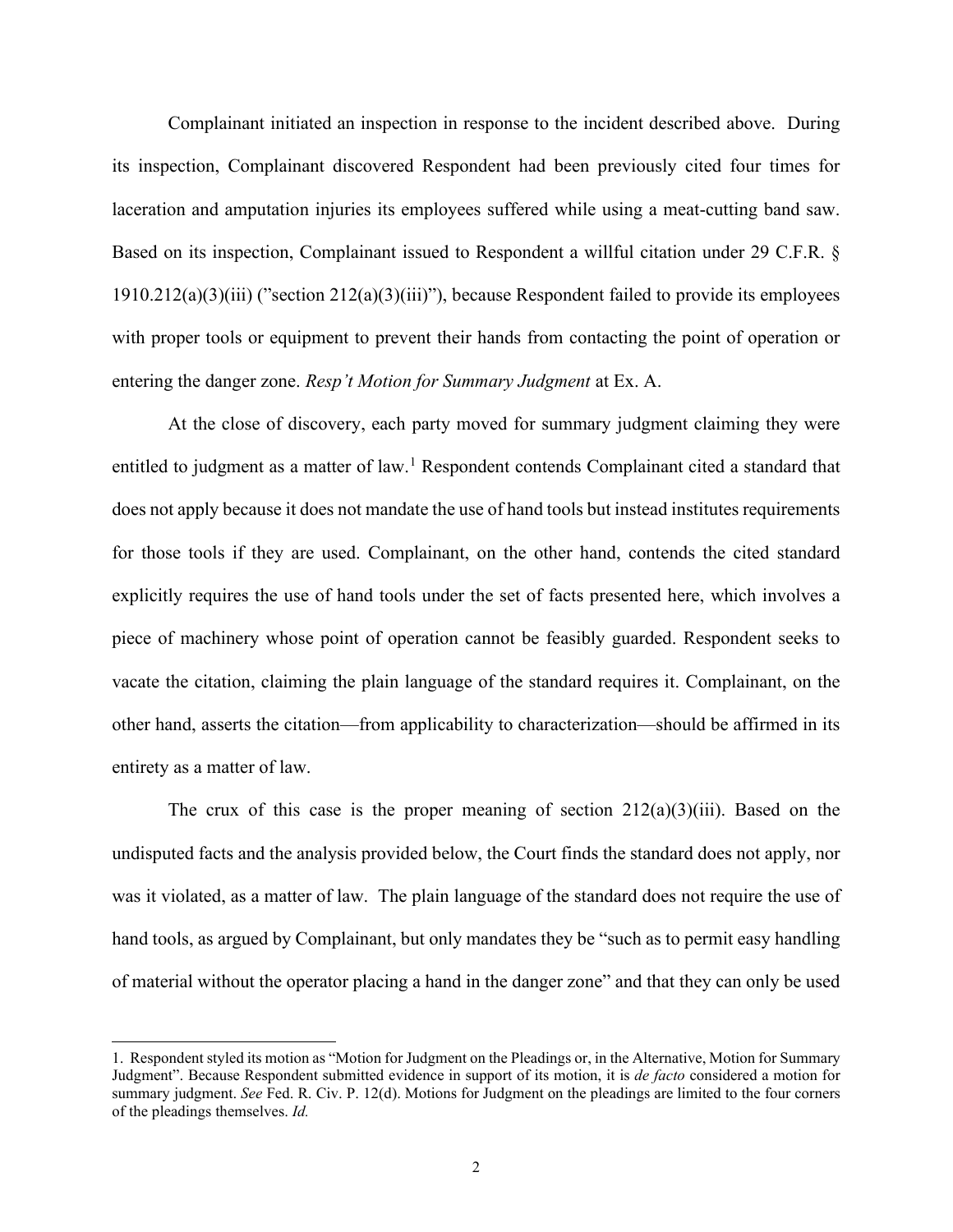Complainant initiated an inspection in response to the incident described above. During its inspection, Complainant discovered Respondent had been previously cited four times for laceration and amputation injuries its employees suffered while using a meat-cutting band saw. Based on its inspection, Complainant issued to Respondent a willful citation under 29 C.F.R. § 1910.212(a)(3)(iii) ("section 212(a)(3)(iii)"), because Respondent failed to provide its employees with proper tools or equipment to prevent their hands from contacting the point of operation or entering the danger zone. *Resp't Motion for Summary Judgment* at Ex. A.

At the close of discovery, each party moved for summary judgment claiming they were entitled to judgment as a matter of law.<sup>[1](#page-1-0)</sup> Respondent contends Complainant cited a standard that does not apply because it does not mandate the use of hand tools but instead institutes requirements for those tools if they are used. Complainant, on the other hand, contends the cited standard explicitly requires the use of hand tools under the set of facts presented here, which involves a piece of machinery whose point of operation cannot be feasibly guarded. Respondent seeks to vacate the citation, claiming the plain language of the standard requires it. Complainant, on the other hand, asserts the citation—from applicability to characterization—should be affirmed in its entirety as a matter of law.

The crux of this case is the proper meaning of section  $212(a)(3)(iii)$ . Based on the undisputed facts and the analysis provided below, the Court finds the standard does not apply, nor was it violated, as a matter of law. The plain language of the standard does not require the use of hand tools, as argued by Complainant, but only mandates they be "such as to permit easy handling of material without the operator placing a hand in the danger zone" and that they can only be used

<span id="page-1-0"></span><sup>1.</sup> Respondent styled its motion as "Motion for Judgment on the Pleadings or, in the Alternative, Motion for Summary Judgment". Because Respondent submitted evidence in support of its motion, it is *de facto* considered a motion for summary judgment. *See* Fed. R. Civ. P. 12(d). Motions for Judgment on the pleadings are limited to the four corners of the pleadings themselves. *Id.*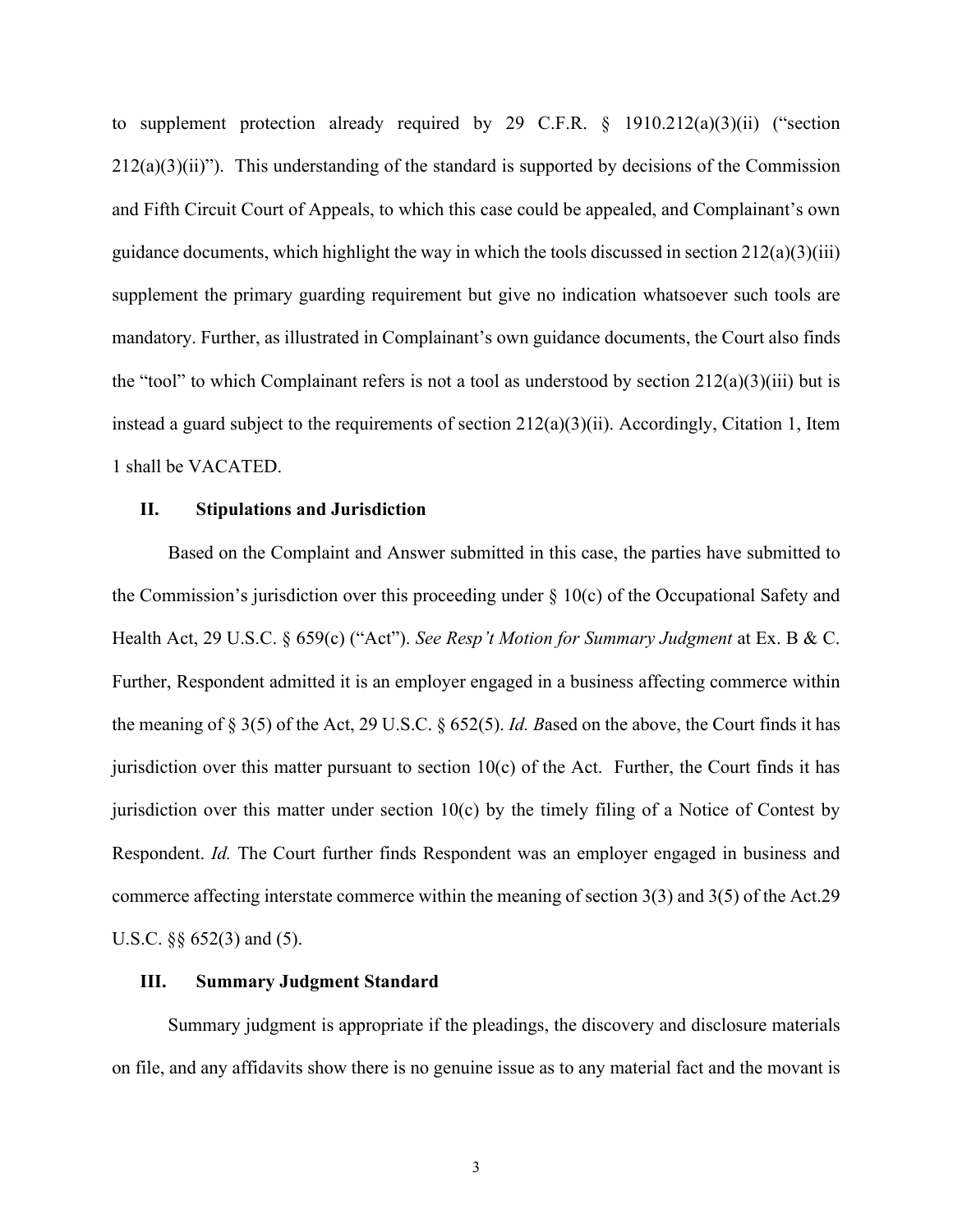to supplement protection already required by 29 C.F.R. § 1910.212(a)(3)(ii) ("section  $212(a)(3)(ii)$ "). This understanding of the standard is supported by decisions of the Commission and Fifth Circuit Court of Appeals, to which this case could be appealed, and Complainant's own guidance documents, which highlight the way in which the tools discussed in section  $212(a)(3)(iii)$ supplement the primary guarding requirement but give no indication whatsoever such tools are mandatory. Further, as illustrated in Complainant's own guidance documents, the Court also finds the "tool" to which Complainant refers is not a tool as understood by section  $212(a)(3)(iii)$  but is instead a guard subject to the requirements of section 212(a)(3)(ii). Accordingly, Citation 1, Item 1 shall be VACATED.

#### **II. Stipulations and Jurisdiction**

Based on the Complaint and Answer submitted in this case, the parties have submitted to the Commission's jurisdiction over this proceeding under  $\S$  10(c) of the Occupational Safety and Health Act, 29 U.S.C. § 659(c) ("Act"). *See Resp't Motion for Summary Judgment* at Ex. B & C. Further, Respondent admitted it is an employer engaged in a business affecting commerce within the meaning of § 3(5) of the Act, 29 U.S.C. § 652(5). *Id. B*ased on the above, the Court finds it has jurisdiction over this matter pursuant to section  $10(c)$  of the Act. Further, the Court finds it has jurisdiction over this matter under section 10(c) by the timely filing of a Notice of Contest by Respondent. *Id.* The Court further finds Respondent was an employer engaged in business and commerce affecting interstate commerce within the meaning of section 3(3) and 3(5) of the Act.29 U.S.C. §§ 652(3) and (5).

#### **III. Summary Judgment Standard**

Summary judgment is appropriate if the pleadings, the discovery and disclosure materials on file, and any affidavits show there is no genuine issue as to any material fact and the movant is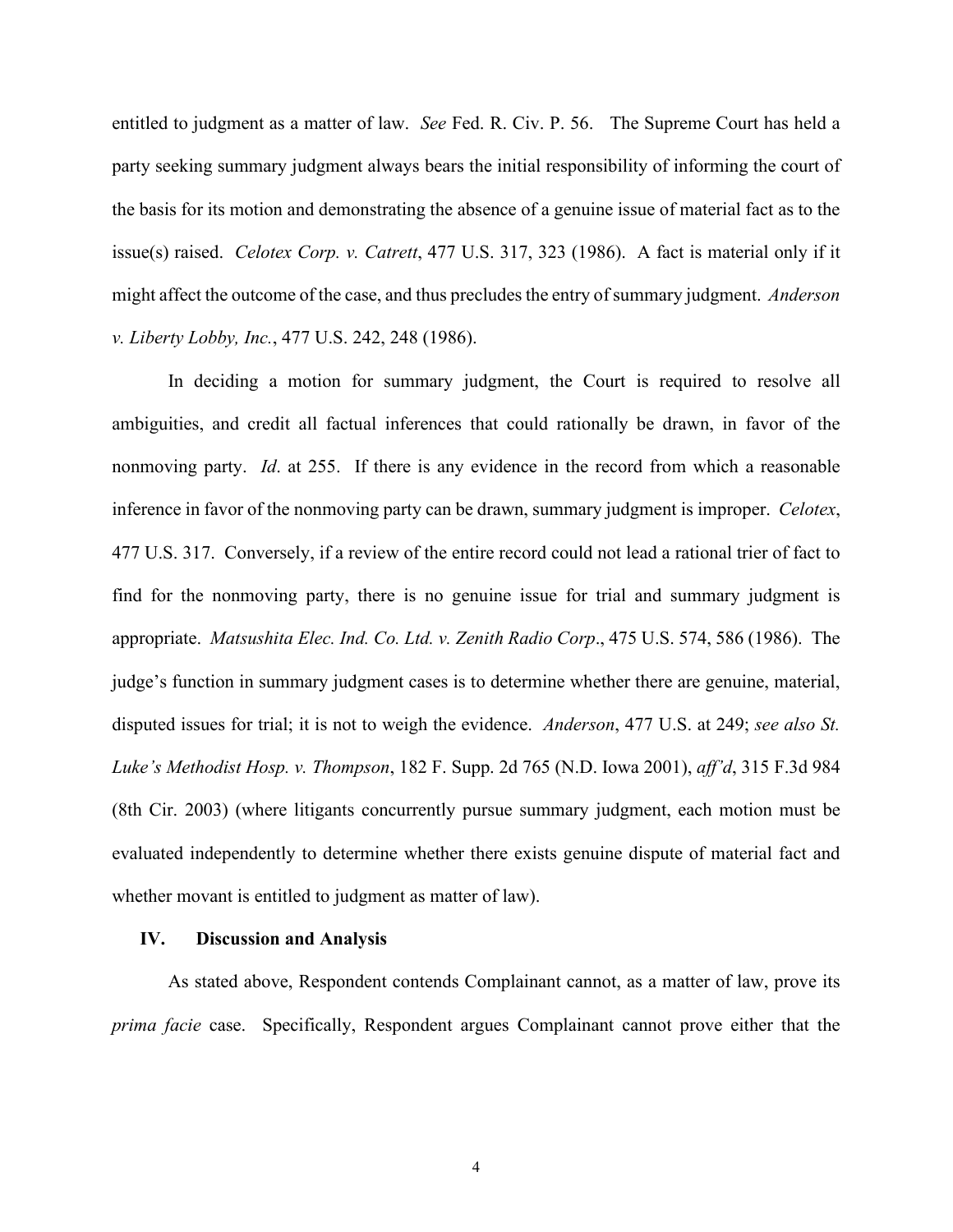entitled to judgment as a matter of law. *See* Fed. R. Civ. P. 56. The Supreme Court has held a party seeking summary judgment always bears the initial responsibility of informing the court of the basis for its motion and demonstrating the absence of a genuine issue of material fact as to the issue(s) raised. *Celotex Corp. v. Catrett*, 477 U.S. 317, 323 (1986). A fact is material only if it might affect the outcome of the case, and thus precludes the entry of summary judgment. *Anderson v. Liberty Lobby, Inc.*, 477 U.S. 242, 248 (1986).

In deciding a motion for summary judgment, the Court is required to resolve all ambiguities, and credit all factual inferences that could rationally be drawn, in favor of the nonmoving party. *Id*. at 255. If there is any evidence in the record from which a reasonable inference in favor of the nonmoving party can be drawn, summary judgment is improper. *Celotex*, 477 U.S. 317. Conversely, if a review of the entire record could not lead a rational trier of fact to find for the nonmoving party, there is no genuine issue for trial and summary judgment is appropriate. *Matsushita Elec. Ind. Co. Ltd. v. Zenith Radio Corp*., 475 U.S. 574, 586 (1986). The judge's function in summary judgment cases is to determine whether there are genuine, material, disputed issues for trial; it is not to weigh the evidence. *Anderson*, 477 U.S. at 249; *see also St. Luke's Methodist Hosp. v. Thompson*, 182 F. Supp. 2d 765 (N.D. Iowa 2001), *aff'd*, 315 F.3d 984 (8th Cir. 2003) (where litigants concurrently pursue summary judgment, each motion must be evaluated independently to determine whether there exists genuine dispute of material fact and whether movant is entitled to judgment as matter of law).

## **IV. Discussion and Analysis**

As stated above, Respondent contends Complainant cannot, as a matter of law, prove its *prima facie* case. Specifically, Respondent argues Complainant cannot prove either that the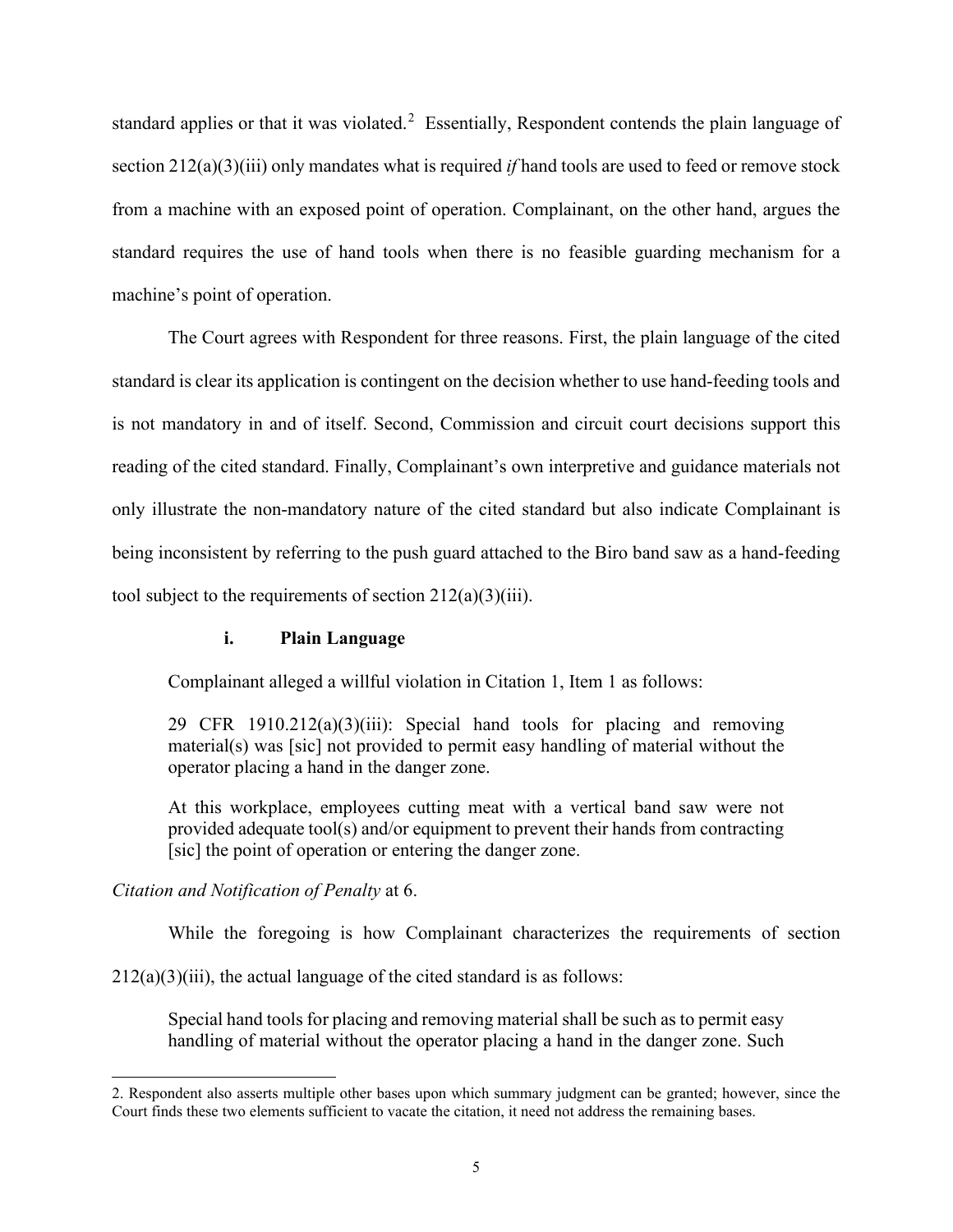standard applies or that it was violated.<sup>[2](#page-4-0)</sup> Essentially, Respondent contends the plain language of section 212(a)(3)(iii) only mandates what is required *if* hand tools are used to feed or remove stock from a machine with an exposed point of operation. Complainant, on the other hand, argues the standard requires the use of hand tools when there is no feasible guarding mechanism for a machine's point of operation.

The Court agrees with Respondent for three reasons. First, the plain language of the cited standard is clear its application is contingent on the decision whether to use hand-feeding tools and is not mandatory in and of itself. Second, Commission and circuit court decisions support this reading of the cited standard. Finally, Complainant's own interpretive and guidance materials not only illustrate the non-mandatory nature of the cited standard but also indicate Complainant is being inconsistent by referring to the push guard attached to the Biro band saw as a hand-feeding tool subject to the requirements of section  $212(a)(3)(iii)$ .

## **i. Plain Language**

Complainant alleged a willful violation in Citation 1, Item 1 as follows:

29 CFR 1910.212(a)(3)(iii): Special hand tools for placing and removing material(s) was [sic] not provided to permit easy handling of material without the operator placing a hand in the danger zone.

At this workplace, employees cutting meat with a vertical band saw were not provided adequate tool(s) and/or equipment to prevent their hands from contracting [sic] the point of operation or entering the danger zone.

## *Citation and Notification of Penalty* at 6.

While the foregoing is how Complainant characterizes the requirements of section

 $212(a)(3)(iii)$ , the actual language of the cited standard is as follows:

Special hand tools for placing and removing material shall be such as to permit easy handling of material without the operator placing a hand in the danger zone. Such

<span id="page-4-0"></span><sup>2.</sup> Respondent also asserts multiple other bases upon which summary judgment can be granted; however, since the Court finds these two elements sufficient to vacate the citation, it need not address the remaining bases.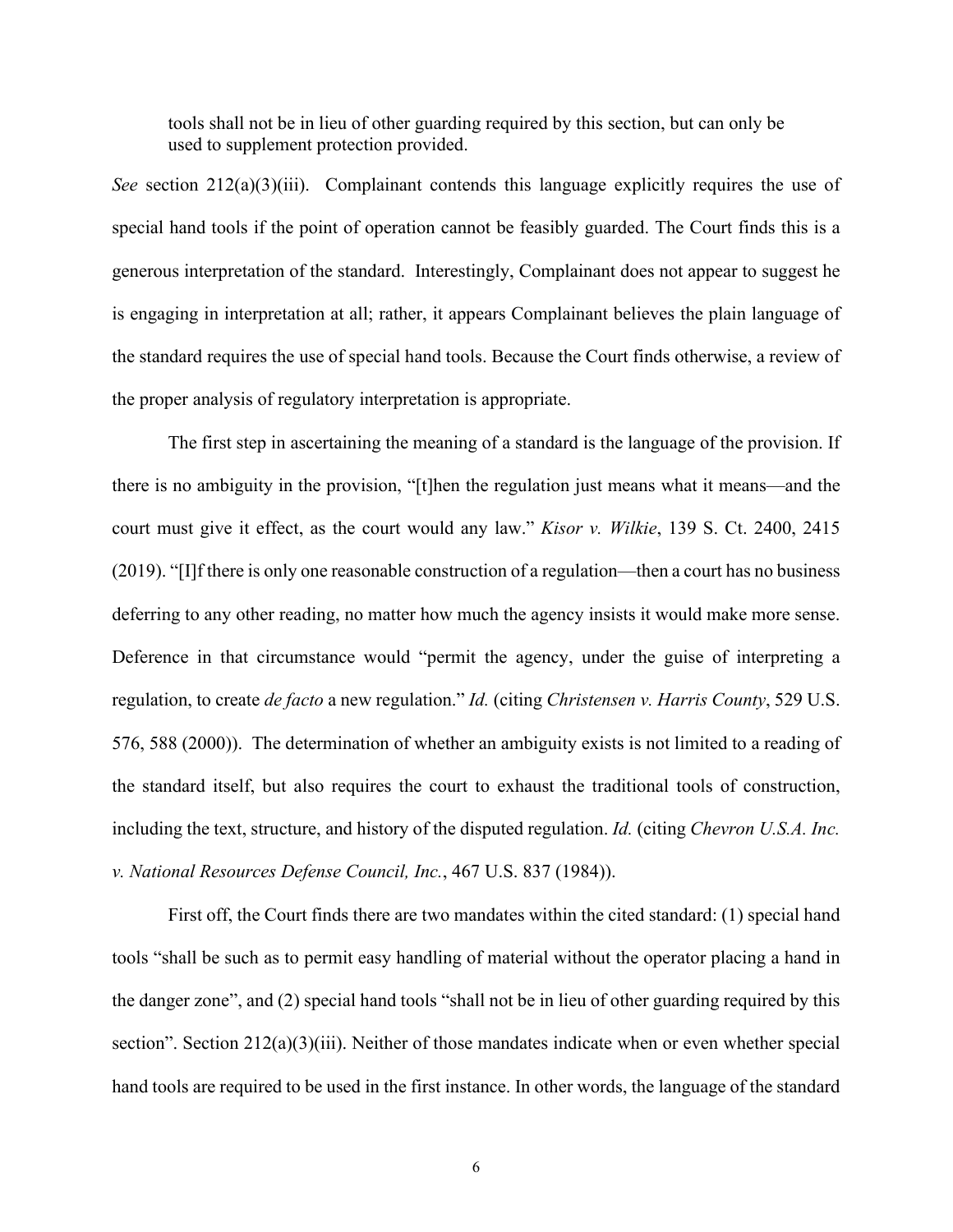tools shall not be in lieu of other guarding required by this section, but can only be used to supplement protection provided.

*See* section 212(a)(3)(iii). Complainant contends this language explicitly requires the use of special hand tools if the point of operation cannot be feasibly guarded. The Court finds this is a generous interpretation of the standard. Interestingly, Complainant does not appear to suggest he is engaging in interpretation at all; rather, it appears Complainant believes the plain language of the standard requires the use of special hand tools. Because the Court finds otherwise, a review of the proper analysis of regulatory interpretation is appropriate.

 The first step in ascertaining the meaning of a standard is the language of the provision. If there is no ambiguity in the provision, "[t]hen the regulation just means what it means—and the court must give it effect, as the court would any law." *Kisor v. Wilkie*, 139 S. Ct. 2400, 2415 (2019). "[I]f there is only one reasonable construction of a regulation—then a court has no business deferring to any other reading, no matter how much the agency insists it would make more sense. Deference in that circumstance would "permit the agency, under the guise of interpreting a regulation, to create *de facto* a new regulation." *Id.* (citing *Christensen v. Harris County*, 529 U.S. 576, 588 (2000)). The determination of whether an ambiguity exists is not limited to a reading of the standard itself, but also requires the court to exhaust the traditional tools of construction, including the text, structure, and history of the disputed regulation. *Id.* (citing *Chevron U.S.A. Inc. v. National Resources Defense Council, Inc.*, 467 U.S. 837 (1984)).

First off, the Court finds there are two mandates within the cited standard: (1) special hand tools "shall be such as to permit easy handling of material without the operator placing a hand in the danger zone", and (2) special hand tools "shall not be in lieu of other guarding required by this section". Section 212(a)(3)(iii). Neither of those mandates indicate when or even whether special hand tools are required to be used in the first instance. In other words, the language of the standard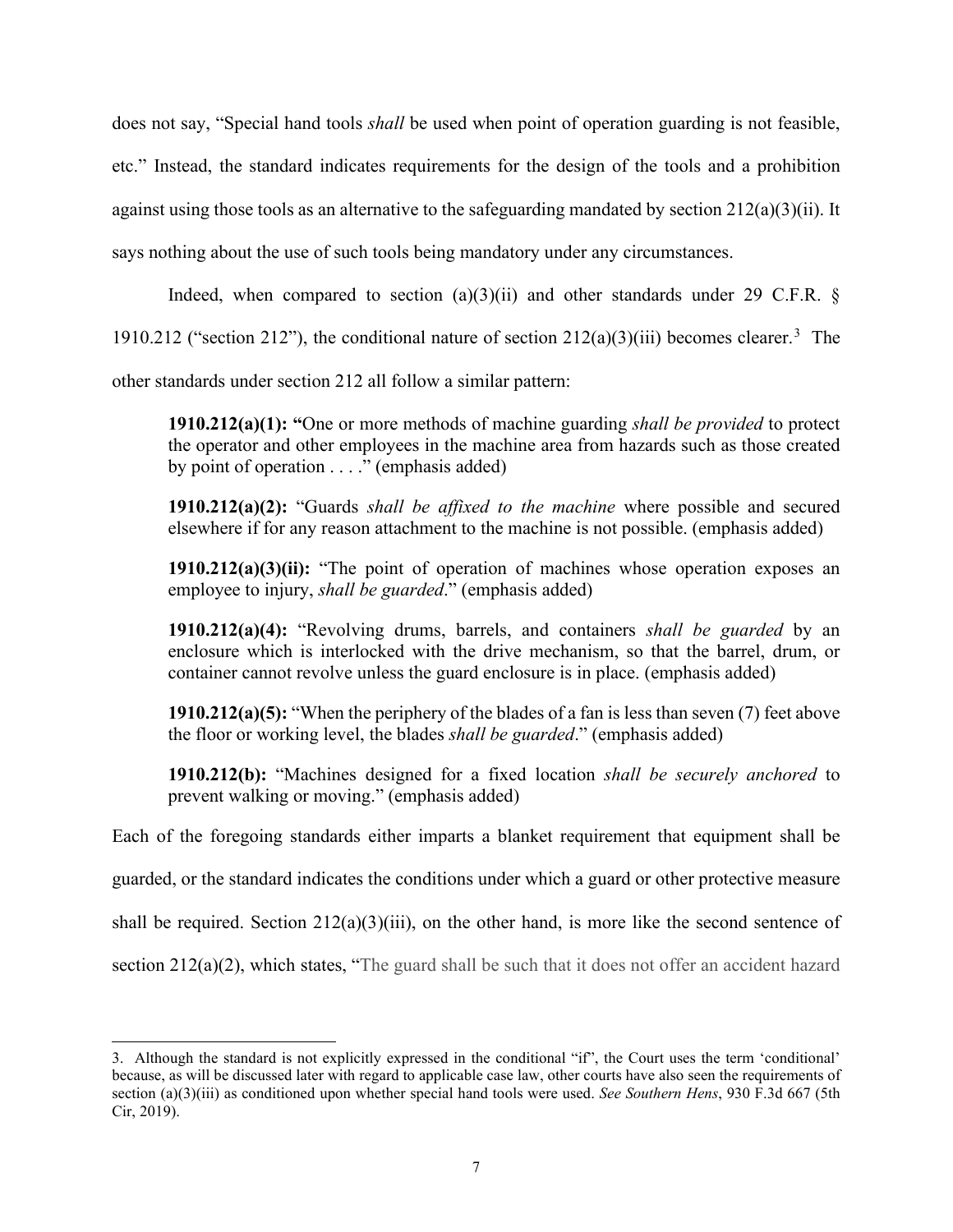does not say, "Special hand tools *shall* be used when point of operation guarding is not feasible, etc." Instead, the standard indicates requirements for the design of the tools and a prohibition against using those tools as an alternative to the safeguarding mandated by section  $212(a)(3)(ii)$ . It says nothing about the use of such tools being mandatory under any circumstances.

Indeed, when compared to section  $(a)(3)(ii)$  and other standards under 29 C.F.R. §

1910.212 ("section 212"), the conditional nature of section  $212(a)(3)(iii)$  $212(a)(3)(iii)$  $212(a)(3)(iii)$  becomes clearer.<sup>3</sup> The

other standards under section 212 all follow a similar pattern:

**1910.212(a)(1): "**One or more methods of machine guarding *shall be provided* to protect the operator and other employees in the machine area from hazards such as those created by point of operation  $\dots$  " (emphasis added)

**1910.212(a)(2):** "Guards *shall be affixed to the machine* where possible and secured elsewhere if for any reason attachment to the machine is not possible. (emphasis added)

**1910.212(a)(3)(ii):** "The point of operation of machines whose operation exposes an employee to injury, *shall be guarded*." (emphasis added)

**1910.212(a)(4):** "Revolving drums, barrels, and containers *shall be guarded* by an enclosure which is interlocked with the drive mechanism, so that the barrel, drum, or container cannot revolve unless the guard enclosure is in place. (emphasis added)

**1910.212(a)(5):** "When the periphery of the blades of a fan is less than seven (7) feet above the floor or working level, the blades *shall be guarded*." (emphasis added)

**1910.212(b):** "Machines designed for a fixed location *shall be securely anchored* to prevent walking or moving." (emphasis added)

Each of the foregoing standards either imparts a blanket requirement that equipment shall be

guarded, or the standard indicates the conditions under which a guard or other protective measure

shall be required. Section  $212(a)(3)(iii)$ , on the other hand, is more like the second sentence of

section 212(a)(2), which states, "The guard shall be such that it does not offer an accident hazard

<span id="page-6-0"></span><sup>3.</sup> Although the standard is not explicitly expressed in the conditional "if", the Court uses the term 'conditional' because, as will be discussed later with regard to applicable case law, other courts have also seen the requirements of section (a)(3)(iii) as conditioned upon whether special hand tools were used. *See Southern Hens*, 930 F.3d 667 (5th Cir, 2019).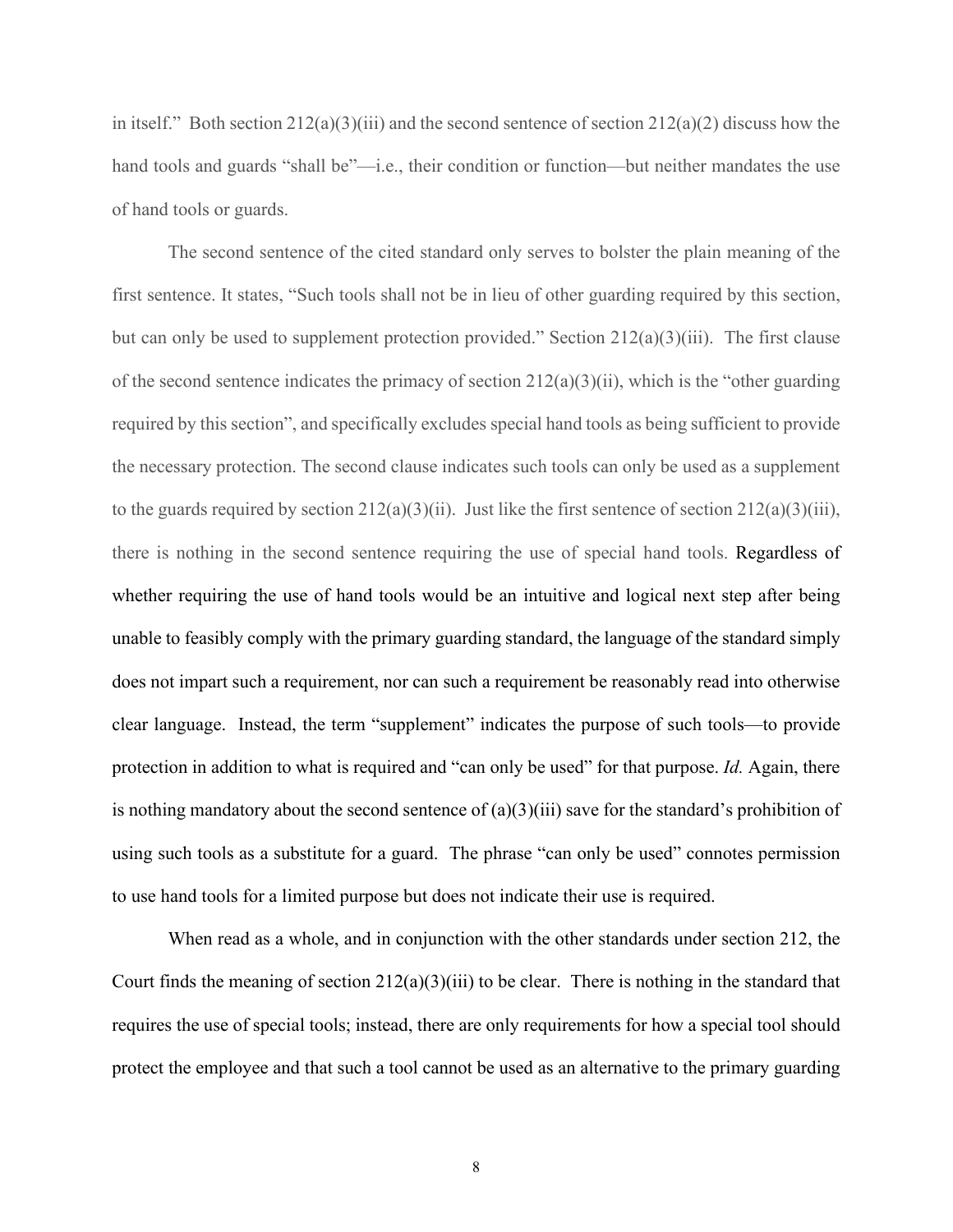in itself." Both section  $212(a)(3)(iii)$  and the second sentence of section  $212(a)(2)$  discuss how the hand tools and guards "shall be"—i.e., their condition or function—but neither mandates the use of hand tools or guards.

The second sentence of the cited standard only serves to bolster the plain meaning of the first sentence. It states, "Such tools shall not be in lieu of other guarding required by this section, but can only be used to supplement protection provided." Section 212(a)(3)(iii). The first clause of the second sentence indicates the primacy of section  $212(a)(3)(ii)$ , which is the "other guarding required by this section", and specifically excludes special hand tools as being sufficient to provide the necessary protection. The second clause indicates such tools can only be used as a supplement to the guards required by section  $212(a)(3)(ii)$ . Just like the first sentence of section  $212(a)(3)(iii)$ , there is nothing in the second sentence requiring the use of special hand tools. Regardless of whether requiring the use of hand tools would be an intuitive and logical next step after being unable to feasibly comply with the primary guarding standard, the language of the standard simply does not impart such a requirement, nor can such a requirement be reasonably read into otherwise clear language. Instead, the term "supplement" indicates the purpose of such tools—to provide protection in addition to what is required and "can only be used" for that purpose. *Id.* Again, there is nothing mandatory about the second sentence of  $(a)(3)(iii)$  save for the standard's prohibition of using such tools as a substitute for a guard. The phrase "can only be used" connotes permission to use hand tools for a limited purpose but does not indicate their use is required.

When read as a whole, and in conjunction with the other standards under section 212, the Court finds the meaning of section  $212(a)(3)(iii)$  to be clear. There is nothing in the standard that requires the use of special tools; instead, there are only requirements for how a special tool should protect the employee and that such a tool cannot be used as an alternative to the primary guarding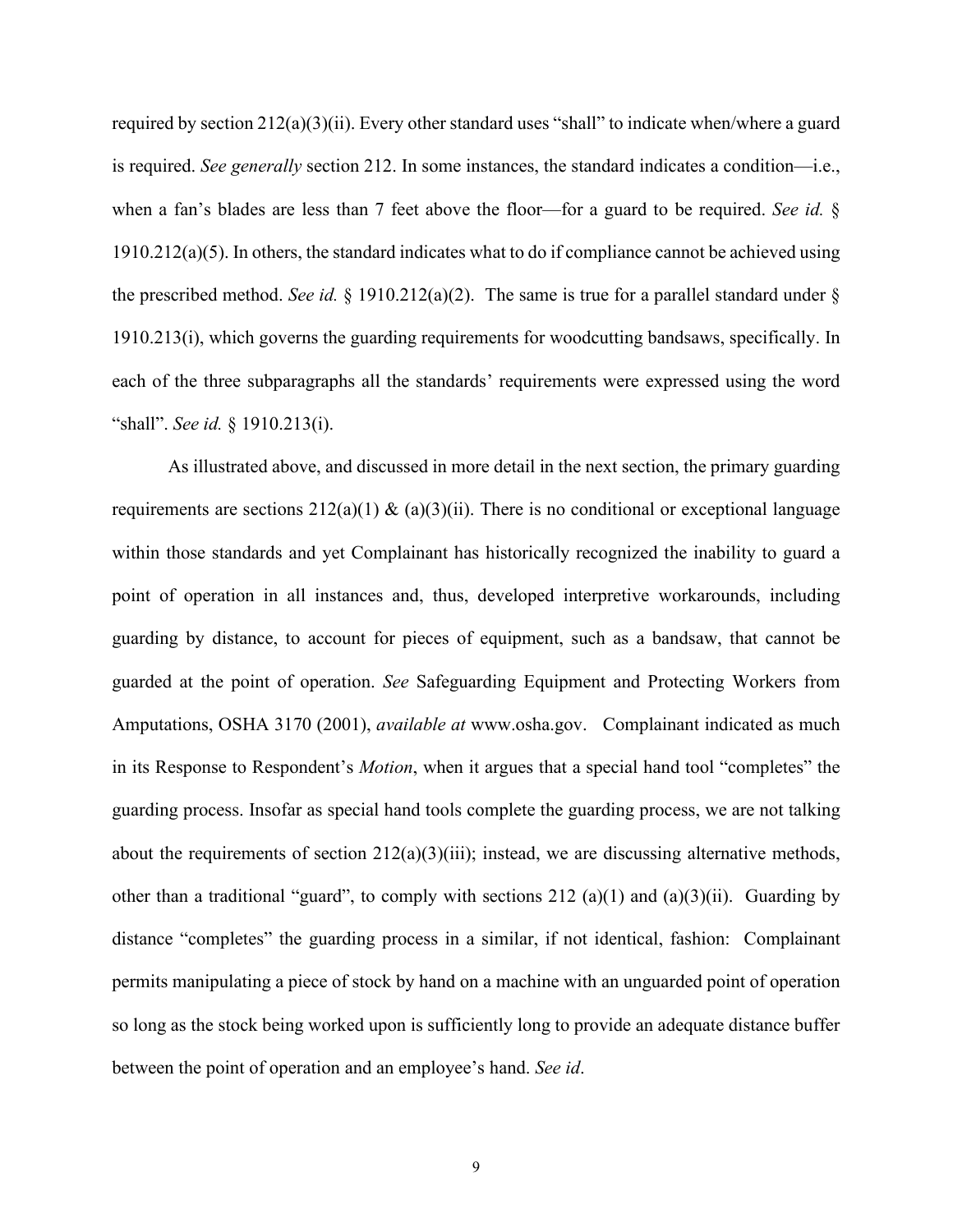required by section 212(a)(3)(ii). Every other standard uses "shall" to indicate when/where a guard is required. *See generally* section 212. In some instances, the standard indicates a condition—i.e., when a fan's blades are less than 7 feet above the floor—for a guard to be required. *See id.* § 1910.212(a)(5). In others, the standard indicates what to do if compliance cannot be achieved using the prescribed method. *See id.* § 1910.212(a)(2). The same is true for a parallel standard under § 1910.213(i), which governs the guarding requirements for woodcutting bandsaws, specifically. In each of the three subparagraphs all the standards' requirements were expressed using the word "shall". *See id.* § 1910.213(i).

As illustrated above, and discussed in more detail in the next section, the primary guarding requirements are sections  $212(a)(1)$  &  $(a)(3)(ii)$ . There is no conditional or exceptional language within those standards and yet Complainant has historically recognized the inability to guard a point of operation in all instances and, thus, developed interpretive workarounds, including guarding by distance, to account for pieces of equipment, such as a bandsaw, that cannot be guarded at the point of operation. *See* Safeguarding Equipment and Protecting Workers from Amputations, OSHA 3170 (2001), *available at* www.osha.gov. Complainant indicated as much in its Response to Respondent's *Motion*, when it argues that a special hand tool "completes" the guarding process. Insofar as special hand tools complete the guarding process, we are not talking about the requirements of section  $212(a)(3)(iii)$ ; instead, we are discussing alternative methods, other than a traditional "guard", to comply with sections 212 (a)(1) and (a)(3)(ii). Guarding by distance "completes" the guarding process in a similar, if not identical, fashion: Complainant permits manipulating a piece of stock by hand on a machine with an unguarded point of operation so long as the stock being worked upon is sufficiently long to provide an adequate distance buffer between the point of operation and an employee's hand. *See id*.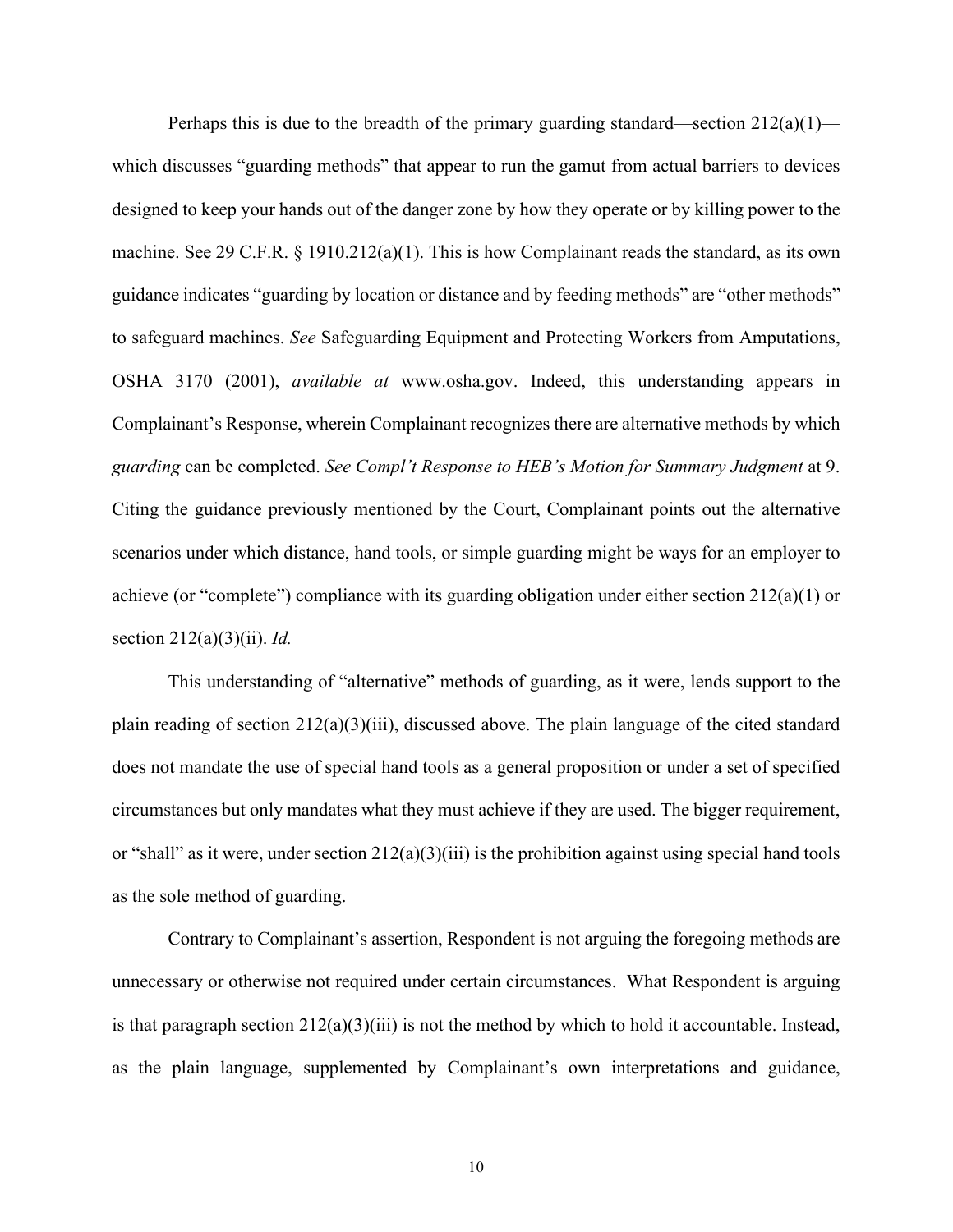Perhaps this is due to the breadth of the primary guarding standard—section  $212(a)(1)$  which discusses "guarding methods" that appear to run the gamut from actual barriers to devices designed to keep your hands out of the danger zone by how they operate or by killing power to the machine. See 29 C.F.R. § 1910.212(a)(1). This is how Complainant reads the standard, as its own guidance indicates "guarding by location or distance and by feeding methods" are "other methods" to safeguard machines. *See* Safeguarding Equipment and Protecting Workers from Amputations, OSHA 3170 (2001), *available at* www.osha.gov. Indeed, this understanding appears in Complainant's Response, wherein Complainant recognizes there are alternative methods by which *guarding* can be completed. *See Compl't Response to HEB's Motion for Summary Judgment* at 9. Citing the guidance previously mentioned by the Court, Complainant points out the alternative scenarios under which distance, hand tools, or simple guarding might be ways for an employer to achieve (or "complete") compliance with its guarding obligation under either section 212(a)(1) or section 212(a)(3)(ii). *Id.*

This understanding of "alternative" methods of guarding, as it were, lends support to the plain reading of section 212(a)(3)(iii), discussed above. The plain language of the cited standard does not mandate the use of special hand tools as a general proposition or under a set of specified circumstances but only mandates what they must achieve if they are used. The bigger requirement, or "shall" as it were, under section  $212(a)(3)(iii)$  is the prohibition against using special hand tools as the sole method of guarding.

Contrary to Complainant's assertion, Respondent is not arguing the foregoing methods are unnecessary or otherwise not required under certain circumstances. What Respondent is arguing is that paragraph section  $212(a)(3)(iii)$  is not the method by which to hold it accountable. Instead, as the plain language, supplemented by Complainant's own interpretations and guidance,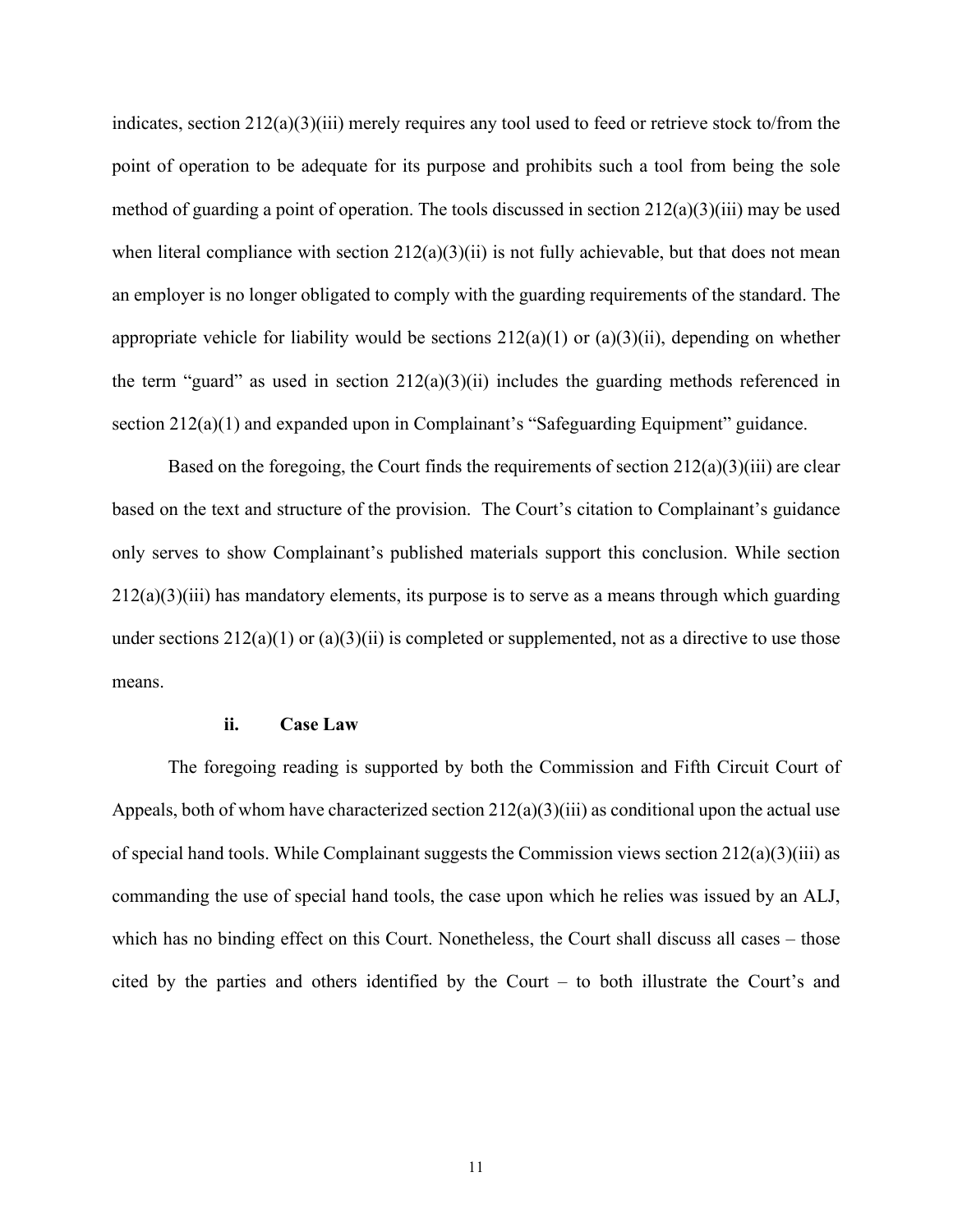indicates, section  $212(a)(3)(iii)$  merely requires any tool used to feed or retrieve stock to/from the point of operation to be adequate for its purpose and prohibits such a tool from being the sole method of guarding a point of operation. The tools discussed in section  $212(a)(3)(iii)$  may be used when literal compliance with section  $212(a)(3)(ii)$  is not fully achievable, but that does not mean an employer is no longer obligated to comply with the guarding requirements of the standard. The appropriate vehicle for liability would be sections  $212(a)(1)$  or  $(a)(3)(ii)$ , depending on whether the term "guard" as used in section  $212(a)(3)(ii)$  includes the guarding methods referenced in section 212(a)(1) and expanded upon in Complainant's "Safeguarding Equipment" guidance.

Based on the foregoing, the Court finds the requirements of section 212(a)(3)(iii) are clear based on the text and structure of the provision. The Court's citation to Complainant's guidance only serves to show Complainant's published materials support this conclusion. While section  $212(a)(3)(iii)$  has mandatory elements, its purpose is to serve as a means through which guarding under sections  $212(a)(1)$  or  $(a)(3)(ii)$  is completed or supplemented, not as a directive to use those means.

#### **ii. Case Law**

The foregoing reading is supported by both the Commission and Fifth Circuit Court of Appeals, both of whom have characterized section  $212(a)(3)(iii)$  as conditional upon the actual use of special hand tools. While Complainant suggests the Commission views section 212(a)(3)(iii) as commanding the use of special hand tools, the case upon which he relies was issued by an ALJ, which has no binding effect on this Court. Nonetheless, the Court shall discuss all cases – those cited by the parties and others identified by the Court – to both illustrate the Court's and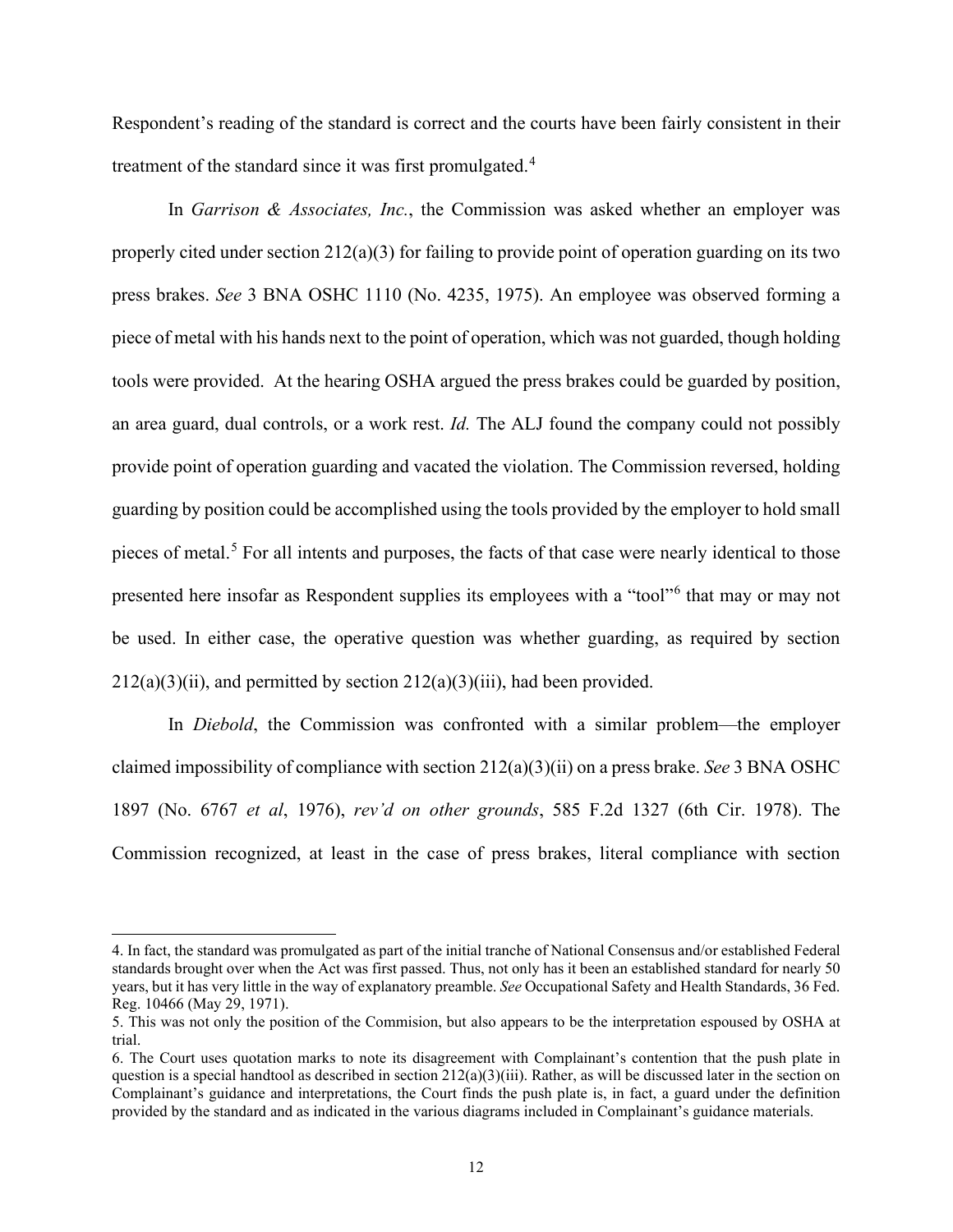Respondent's reading of the standard is correct and the courts have been fairly consistent in their treatment of the standard since it was first promulgated.<sup>[4](#page-11-0)</sup>

In *Garrison & Associates, Inc.*, the Commission was asked whether an employer was properly cited under section 212(a)(3) for failing to provide point of operation guarding on its two press brakes. *See* 3 BNA OSHC 1110 (No. 4235, 1975). An employee was observed forming a piece of metal with his hands next to the point of operation, which was not guarded, though holding tools were provided. At the hearing OSHA argued the press brakes could be guarded by position, an area guard, dual controls, or a work rest. *Id.* The ALJ found the company could not possibly provide point of operation guarding and vacated the violation. The Commission reversed, holding guarding by position could be accomplished using the tools provided by the employer to hold small pieces of metal.<sup>[5](#page-11-1)</sup> For all intents and purposes, the facts of that case were nearly identical to those presented here insofar as Respondent supplies its employees with a "tool"[6](#page-11-2) that may or may not be used. In either case, the operative question was whether guarding, as required by section  $212(a)(3)(ii)$ , and permitted by section  $212(a)(3)(iii)$ , had been provided.

In *Diebold*, the Commission was confronted with a similar problem—the employer claimed impossibility of compliance with section 212(a)(3)(ii) on a press brake. *See* 3 BNA OSHC 1897 (No. 6767 *et al*, 1976), *rev'd on other grounds*, 585 F.2d 1327 (6th Cir. 1978). The Commission recognized, at least in the case of press brakes, literal compliance with section

<span id="page-11-0"></span><sup>4.</sup> In fact, the standard was promulgated as part of the initial tranche of National Consensus and/or established Federal standards brought over when the Act was first passed. Thus, not only has it been an established standard for nearly 50 years, but it has very little in the way of explanatory preamble. *See* Occupational Safety and Health Standards, 36 Fed. Reg. 10466 (May 29, 1971).

<span id="page-11-1"></span><sup>5.</sup> This was not only the position of the Commision, but also appears to be the interpretation espoused by OSHA at trial.

<span id="page-11-2"></span><sup>6.</sup> The Court uses quotation marks to note its disagreement with Complainant's contention that the push plate in question is a special handtool as described in section  $212(a)(3)(iii)$ . Rather, as will be discussed later in the section on Complainant's guidance and interpretations, the Court finds the push plate is, in fact, a guard under the definition provided by the standard and as indicated in the various diagrams included in Complainant's guidance materials.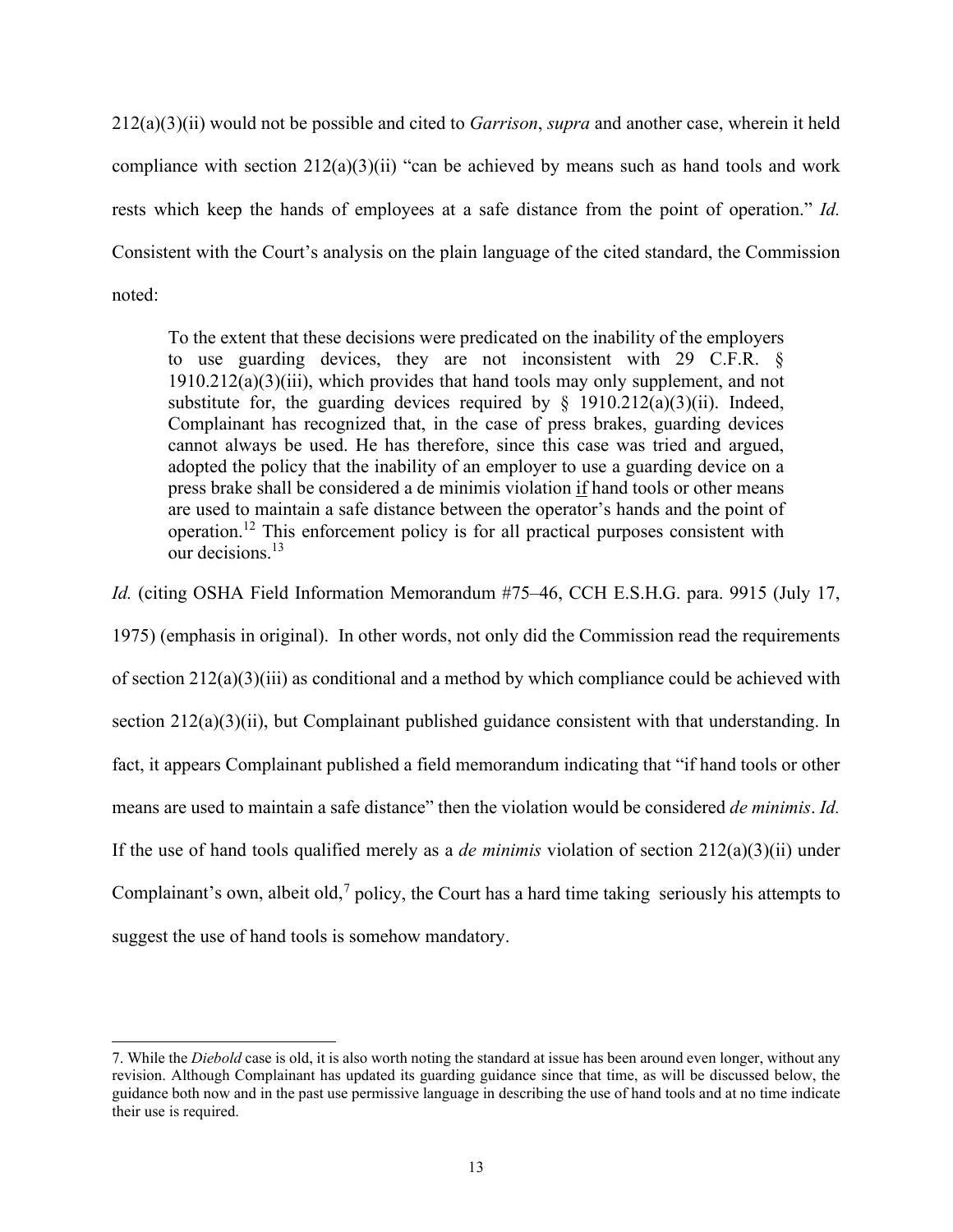212(a)(3)(ii) would not be possible and cited to *Garrison*, *supra* and another case, wherein it held compliance with section  $212(a)(3)(ii)$  "can be achieved by means such as hand tools and work rests which keep the hands of employees at a safe distance from the point of operation." *Id.* Consistent with the Court's analysis on the plain language of the cited standard, the Commission noted:

To the extent that these decisions were predicated on the inability of the employers to use guarding devices, they are not inconsistent with 29 C.F.R. § 1910.212(a)(3)(iii), which provides that hand tools may only supplement, and not substitute for, the guarding devices required by  $\S$  1910.212(a)(3)(ii). Indeed, Complainant has recognized that, in the case of press brakes, guarding devices cannot always be used. He has therefore, since this case was tried and argued, adopted the policy that the inability of an employer to use a guarding device on a press brake shall be considered a de minimis violation if hand tools or other means are used to maintain a safe distance between the operator's hands and the point of operation.12 This enforcement policy is for all practical purposes consistent with our decisions.<sup>13</sup>

*Id.* (citing OSHA Field Information Memorandum #75–46, CCH E.S.H.G. para. 9915 (July 17,

1975) (emphasis in original). In other words, not only did the Commission read the requirements of section 212(a)(3)(iii) as conditional and a method by which compliance could be achieved with section  $212(a)(3)(ii)$ , but Complainant published guidance consistent with that understanding. In fact, it appears Complainant published a field memorandum indicating that "if hand tools or other means are used to maintain a safe distance" then the violation would be considered *de minimis*. *Id.*  If the use of hand tools qualified merely as a *de minimis* violation of section  $212(a)(3)(ii)$  under Complainant's own, albeit old,<sup>[7](#page-12-0)</sup> policy, the Court has a hard time taking seriously his attempts to suggest the use of hand tools is somehow mandatory.

<span id="page-12-0"></span><sup>7.</sup> While the *Diebold* case is old, it is also worth noting the standard at issue has been around even longer, without any revision. Although Complainant has updated its guarding guidance since that time, as will be discussed below, the guidance both now and in the past use permissive language in describing the use of hand tools and at no time indicate their use is required.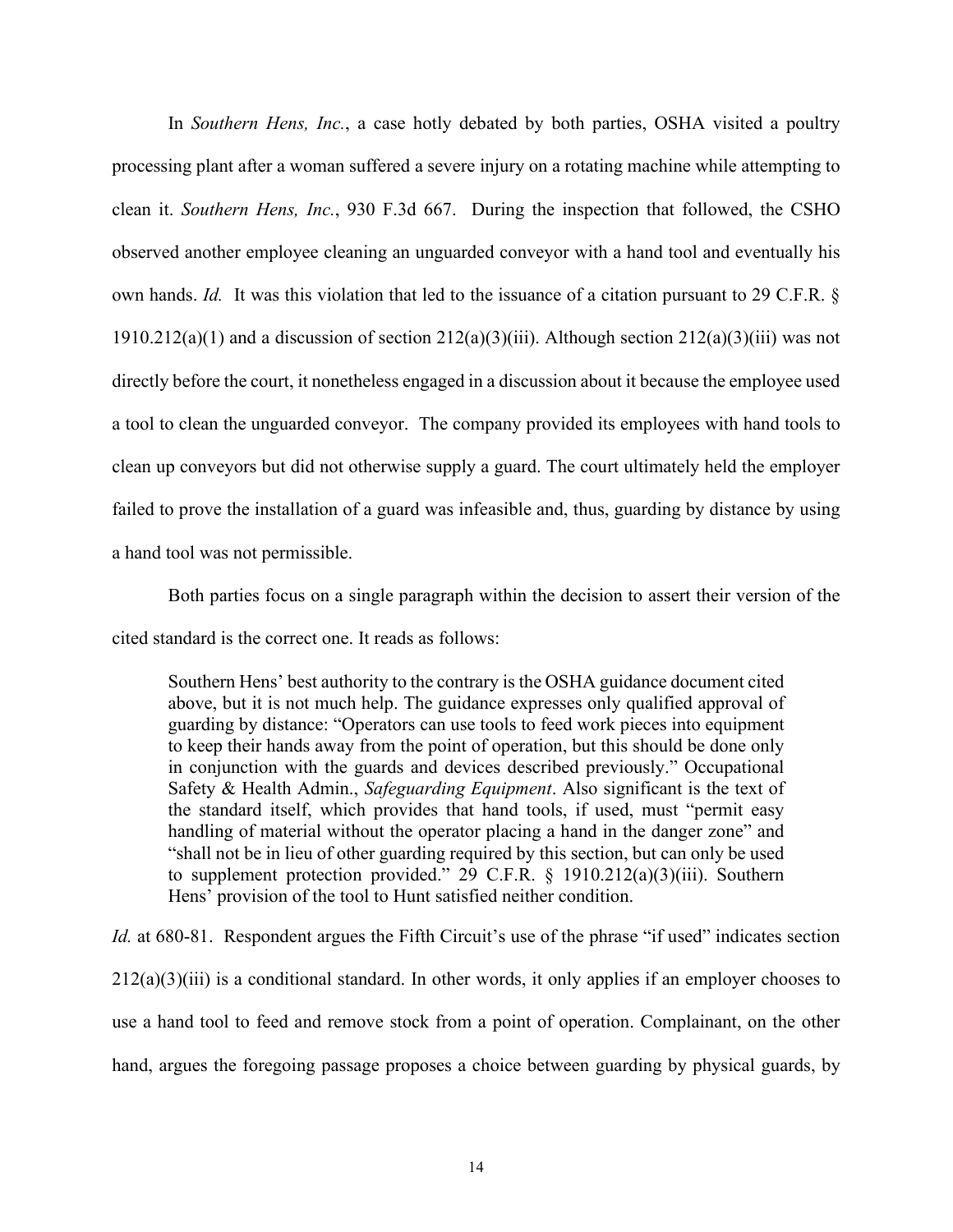In *Southern Hens, Inc.*, a case hotly debated by both parties, OSHA visited a poultry processing plant after a woman suffered a severe injury on a rotating machine while attempting to clean it. *Southern Hens, Inc.*, 930 F.3d 667. During the inspection that followed, the CSHO observed another employee cleaning an unguarded conveyor with a hand tool and eventually his own hands. *Id.* It was this violation that led to the issuance of a citation pursuant to 29 C.F.R. § 1910.212(a)(1) and a discussion of section  $212(a)(3)(iii)$ . Although section  $212(a)(3)(iii)$  was not directly before the court, it nonetheless engaged in a discussion about it because the employee used a tool to clean the unguarded conveyor. The company provided its employees with hand tools to clean up conveyors but did not otherwise supply a guard. The court ultimately held the employer failed to prove the installation of a guard was infeasible and, thus, guarding by distance by using a hand tool was not permissible.

Both parties focus on a single paragraph within the decision to assert their version of the cited standard is the correct one. It reads as follows:

Southern Hens' best authority to the contrary is the OSHA guidance document cited above, but it is not much help. The guidance expresses only qualified approval of guarding by distance: "Operators can use tools to feed work pieces into equipment to keep their hands away from the point of operation, but this should be done only in conjunction with the guards and devices described previously." Occupational Safety & Health Admin., *Safeguarding Equipment*. Also significant is the text of the standard itself, which provides that hand tools, if used, must "permit easy handling of material without the operator placing a hand in the danger zone" and "shall not be in lieu of other guarding required by this section, but can only be used to supplement protection provided." 29 C.F.R.  $\S$  1910.212(a)(3)(iii). Southern Hens' provision of the tool to Hunt satisfied neither condition.

*Id.* at 680-81. Respondent argues the Fifth Circuit's use of the phrase "if used" indicates section  $212(a)(3)(iii)$  is a conditional standard. In other words, it only applies if an employer chooses to use a hand tool to feed and remove stock from a point of operation. Complainant, on the other hand, argues the foregoing passage proposes a choice between guarding by physical guards, by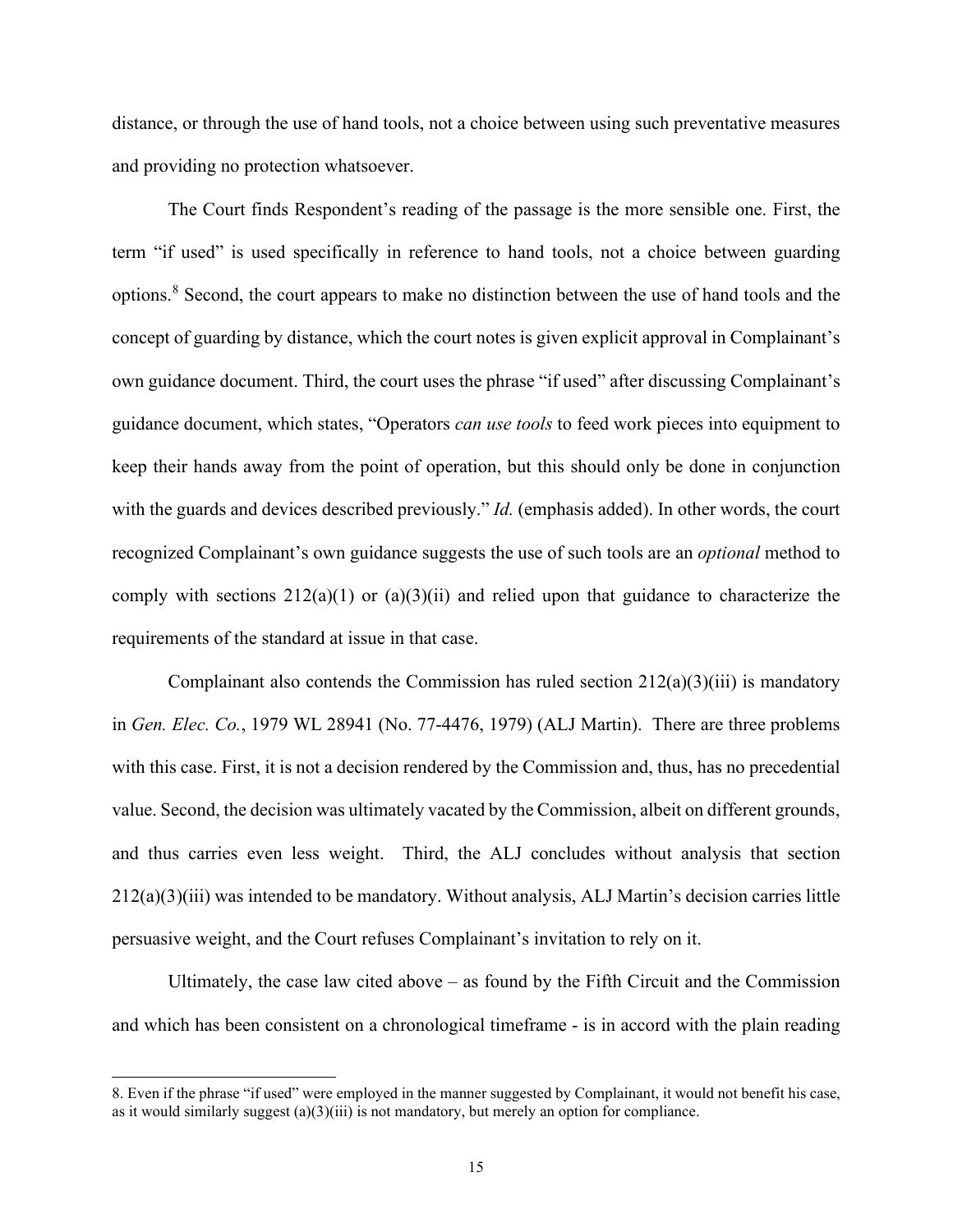distance, or through the use of hand tools, not a choice between using such preventative measures and providing no protection whatsoever.

The Court finds Respondent's reading of the passage is the more sensible one. First, the term "if used" is used specifically in reference to hand tools, not a choice between guarding options.[8](#page-14-0) Second, the court appears to make no distinction between the use of hand tools and the concept of guarding by distance, which the court notes is given explicit approval in Complainant's own guidance document. Third, the court uses the phrase "if used" after discussing Complainant's guidance document, which states, "Operators *can use tools* to feed work pieces into equipment to keep their hands away from the point of operation, but this should only be done in conjunction with the guards and devices described previously." *Id.* (emphasis added). In other words, the court recognized Complainant's own guidance suggests the use of such tools are an *optional* method to comply with sections  $212(a)(1)$  or  $(a)(3)(ii)$  and relied upon that guidance to characterize the requirements of the standard at issue in that case.

Complainant also contends the Commission has ruled section  $212(a)(3)(iii)$  is mandatory in *Gen. Elec. Co.*, 1979 WL 28941 (No. 77-4476, 1979) (ALJ Martin). There are three problems with this case. First, it is not a decision rendered by the Commission and, thus, has no precedential value. Second, the decision was ultimately vacated by the Commission, albeit on different grounds, and thus carries even less weight. Third, the ALJ concludes without analysis that section 212(a)(3)(iii) was intended to be mandatory. Without analysis, ALJ Martin's decision carries little persuasive weight, and the Court refuses Complainant's invitation to rely on it.

Ultimately, the case law cited above – as found by the Fifth Circuit and the Commission and which has been consistent on a chronological timeframe - is in accord with the plain reading

<span id="page-14-0"></span><sup>8.</sup> Even if the phrase "if used" were employed in the manner suggested by Complainant, it would not benefit his case, as it would similarly suggest  $(a)(3)(iii)$  is not mandatory, but merely an option for compliance.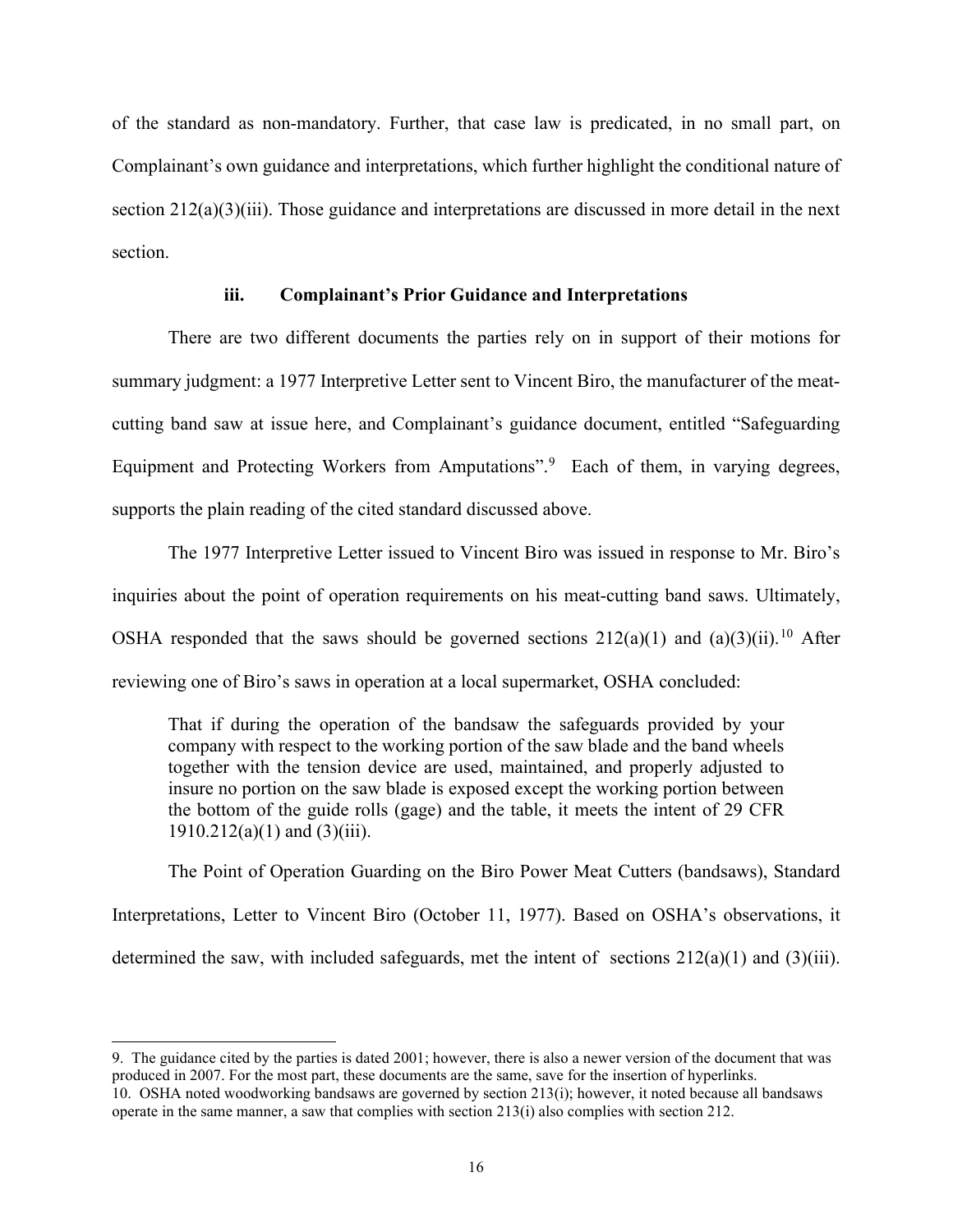of the standard as non-mandatory. Further, that case law is predicated, in no small part, on Complainant's own guidance and interpretations, which further highlight the conditional nature of section  $212(a)(3)(iii)$ . Those guidance and interpretations are discussed in more detail in the next section.

## **iii. Complainant's Prior Guidance and Interpretations**

There are two different documents the parties rely on in support of their motions for summary judgment: a 1977 Interpretive Letter sent to Vincent Biro, the manufacturer of the meatcutting band saw at issue here, and Complainant's guidance document, entitled "Safeguarding Equipment and Protecting Workers from Amputations".<sup>[9](#page-15-0)</sup> Each of them, in varying degrees, supports the plain reading of the cited standard discussed above.

The 1977 Interpretive Letter issued to Vincent Biro was issued in response to Mr. Biro's inquiries about the point of operation requirements on his meat-cutting band saws. Ultimately, OSHA responded that the saws should be governed sections  $212(a)(1)$  and  $(a)(3)(ii)$ .<sup>[10](#page-15-1)</sup> After reviewing one of Biro's saws in operation at a local supermarket, OSHA concluded:

That if during the operation of the bandsaw the safeguards provided by your company with respect to the working portion of the saw blade and the band wheels together with the tension device are used, maintained, and properly adjusted to insure no portion on the saw blade is exposed except the working portion between the bottom of the guide rolls (gage) and the table, it meets the intent of 29 CFR  $1910.212(a)(1)$  and  $(3)(iii)$ .

The Point of Operation Guarding on the Biro Power Meat Cutters (bandsaws), Standard Interpretations, Letter to Vincent Biro (October 11, 1977). Based on OSHA's observations, it determined the saw, with included safeguards, met the intent of sections 212(a)(1) and (3)(iii).

<span id="page-15-1"></span><span id="page-15-0"></span><sup>9.</sup> The guidance cited by the parties is dated 2001; however, there is also a newer version of the document that was produced in 2007. For the most part, these documents are the same, save for the insertion of hyperlinks. 10. OSHA noted woodworking bandsaws are governed by section 213(i); however, it noted because all bandsaws operate in the same manner, a saw that complies with section 213(i) also complies with section 212.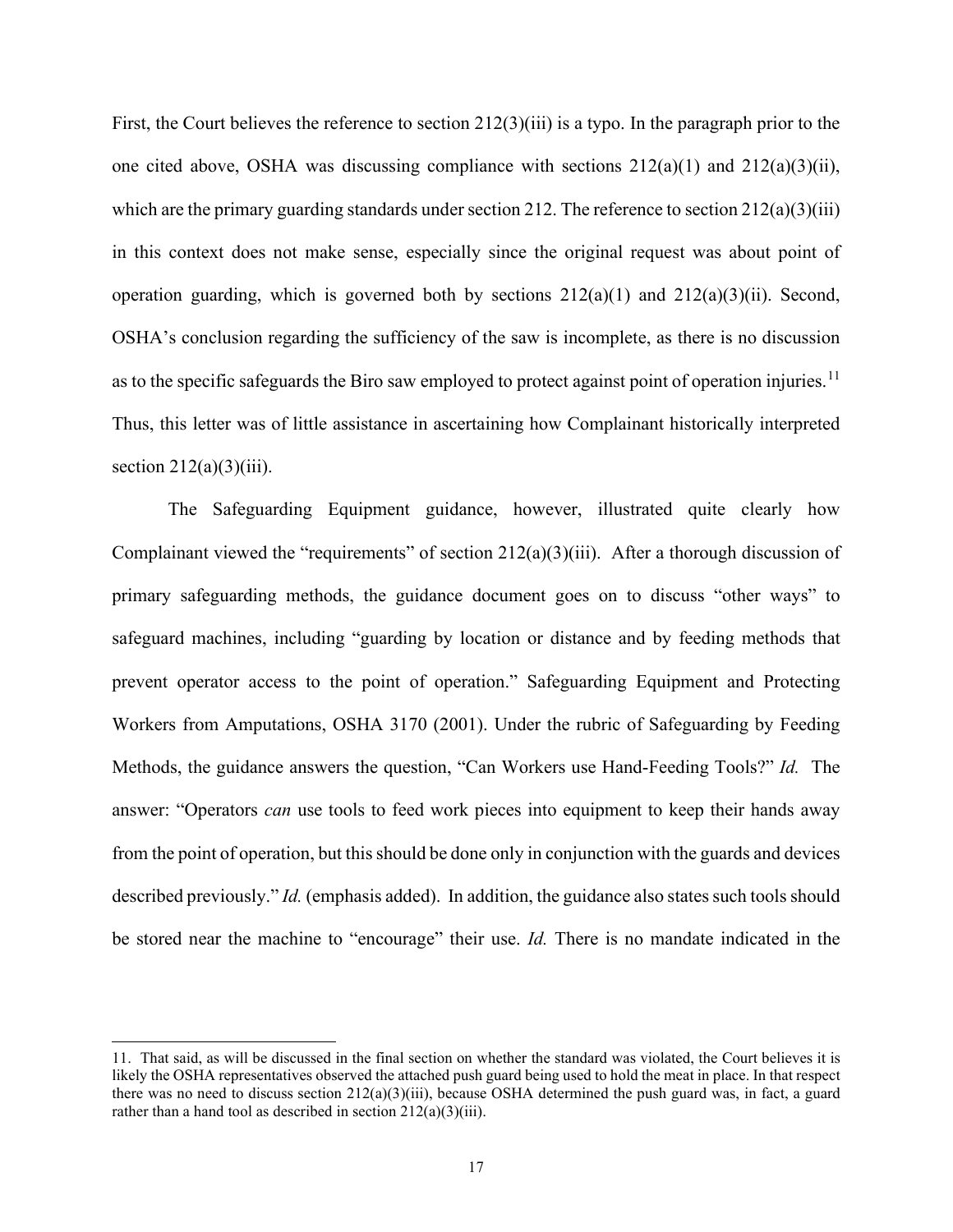First, the Court believes the reference to section 212(3)(iii) is a typo. In the paragraph prior to the one cited above, OSHA was discussing compliance with sections  $212(a)(1)$  and  $212(a)(3)(ii)$ , which are the primary guarding standards under section 212. The reference to section 212(a)(3)(iii) in this context does not make sense, especially since the original request was about point of operation guarding, which is governed both by sections  $212(a)(1)$  and  $212(a)(3)(ii)$ . Second, OSHA's conclusion regarding the sufficiency of the saw is incomplete, as there is no discussion as to the specific safeguards the Biro saw employed to protect against point of operation injuries.<sup>[11](#page-16-0)</sup> Thus, this letter was of little assistance in ascertaining how Complainant historically interpreted section  $212(a)(3)(iii)$ .

The Safeguarding Equipment guidance, however, illustrated quite clearly how Complainant viewed the "requirements" of section  $212(a)(3)(iii)$ . After a thorough discussion of primary safeguarding methods, the guidance document goes on to discuss "other ways" to safeguard machines, including "guarding by location or distance and by feeding methods that prevent operator access to the point of operation." Safeguarding Equipment and Protecting Workers from Amputations, OSHA 3170 (2001). Under the rubric of Safeguarding by Feeding Methods, the guidance answers the question, "Can Workers use Hand-Feeding Tools?" *Id.* The answer: "Operators *can* use tools to feed work pieces into equipment to keep their hands away from the point of operation, but this should be done only in conjunction with the guards and devices described previously." *Id.* (emphasis added). In addition, the guidance also states such tools should be stored near the machine to "encourage" their use. *Id.* There is no mandate indicated in the

<span id="page-16-0"></span><sup>11.</sup> That said, as will be discussed in the final section on whether the standard was violated, the Court believes it is likely the OSHA representatives observed the attached push guard being used to hold the meat in place. In that respect there was no need to discuss section  $212(a)(3)(iii)$ , because OSHA determined the push guard was, in fact, a guard rather than a hand tool as described in section  $212(a)(3)(iii)$ .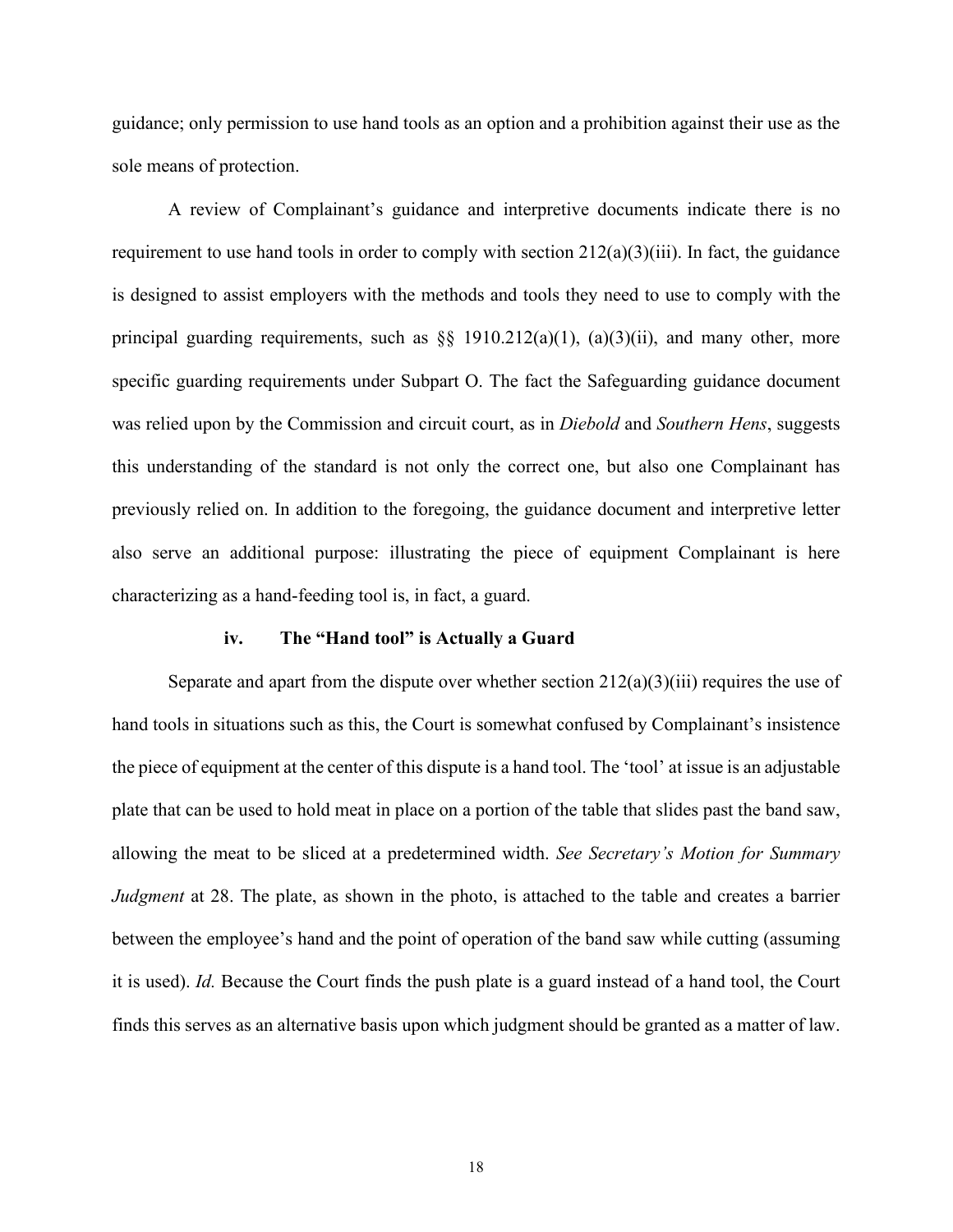guidance; only permission to use hand tools as an option and a prohibition against their use as the sole means of protection.

A review of Complainant's guidance and interpretive documents indicate there is no requirement to use hand tools in order to comply with section  $212(a)(3)(iii)$ . In fact, the guidance is designed to assist employers with the methods and tools they need to use to comply with the principal guarding requirements, such as  $\S$  1910.212(a)(1), (a)(3)(ii), and many other, more specific guarding requirements under Subpart O. The fact the Safeguarding guidance document was relied upon by the Commission and circuit court, as in *Diebold* and *Southern Hens*, suggests this understanding of the standard is not only the correct one, but also one Complainant has previously relied on. In addition to the foregoing, the guidance document and interpretive letter also serve an additional purpose: illustrating the piece of equipment Complainant is here characterizing as a hand-feeding tool is, in fact, a guard.

#### **iv. The "Hand tool" is Actually a Guard**

Separate and apart from the dispute over whether section  $212(a)(3)(iii)$  requires the use of hand tools in situations such as this, the Court is somewhat confused by Complainant's insistence the piece of equipment at the center of this dispute is a hand tool. The 'tool' at issue is an adjustable plate that can be used to hold meat in place on a portion of the table that slides past the band saw, allowing the meat to be sliced at a predetermined width. *See Secretary's Motion for Summary Judgment* at 28. The plate, as shown in the photo, is attached to the table and creates a barrier between the employee's hand and the point of operation of the band saw while cutting (assuming it is used). *Id.* Because the Court finds the push plate is a guard instead of a hand tool, the Court finds this serves as an alternative basis upon which judgment should be granted as a matter of law.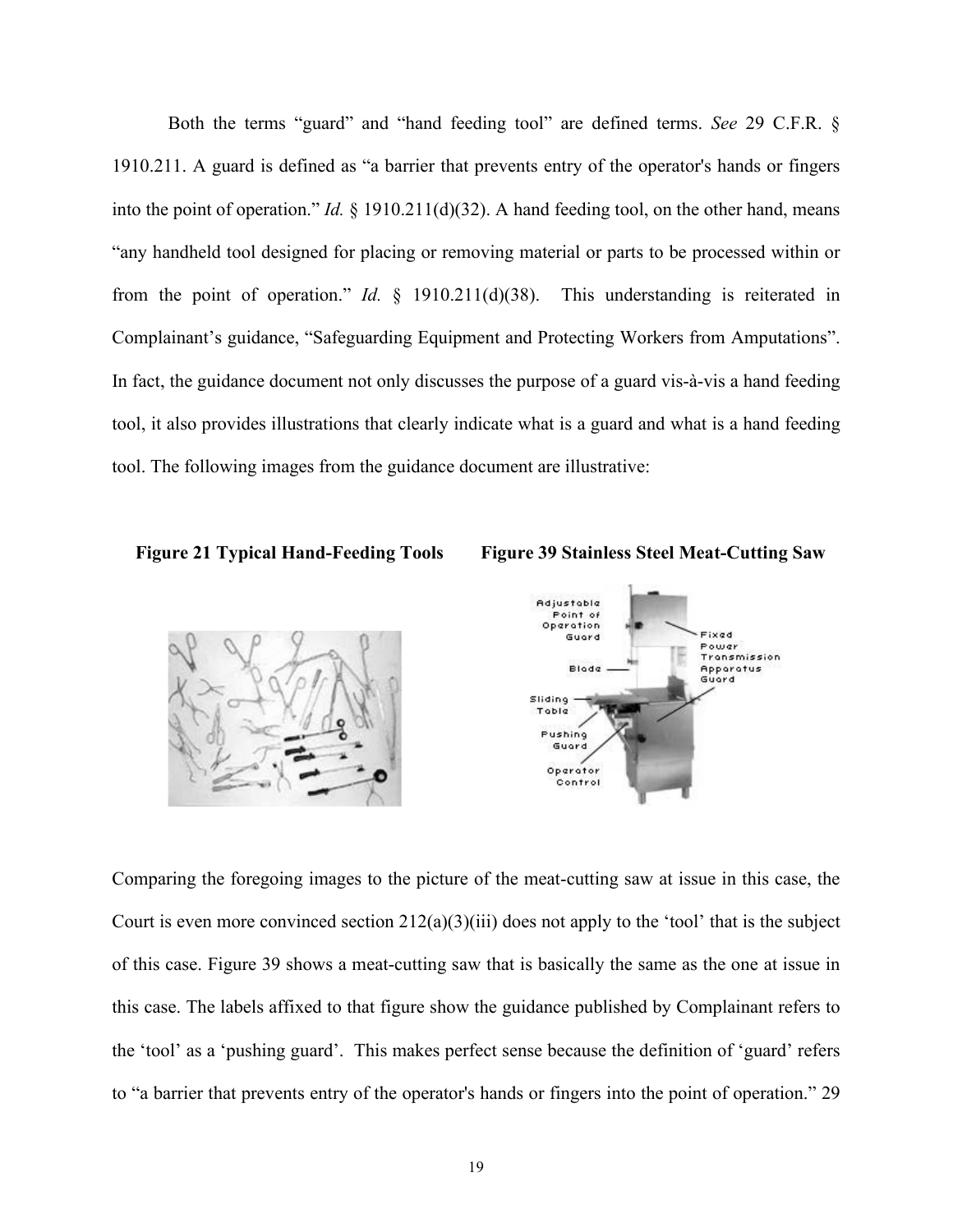Both the terms "guard" and "hand feeding tool" are defined terms. *See* 29 C.F.R. § 1910.211. A guard is defined as "a barrier that prevents entry of the operator's hands or fingers into the point of operation." *Id.* § 1910.211(d)(32). A hand feeding tool, on the other hand, means "any handheld tool designed for placing or removing material or parts to be processed within or from the point of operation." *Id.* § 1910.211(d)(38). This understanding is reiterated in Complainant's guidance, "Safeguarding Equipment and Protecting Workers from Amputations". In fact, the guidance document not only discusses the purpose of a guard vis-à-vis a hand feeding tool, it also provides illustrations that clearly indicate what is a guard and what is a hand feeding tool. The following images from the guidance document are illustrative:







Comparing the foregoing images to the picture of the meat-cutting saw at issue in this case, the Court is even more convinced section  $212(a)(3)(iii)$  does not apply to the 'tool' that is the subject of this case. Figure 39 shows a meat-cutting saw that is basically the same as the one at issue in this case. The labels affixed to that figure show the guidance published by Complainant refers to the 'tool' as a 'pushing guard'. This makes perfect sense because the definition of 'guard' refers to "a barrier that prevents entry of the operator's hands or fingers into the point of operation." 29

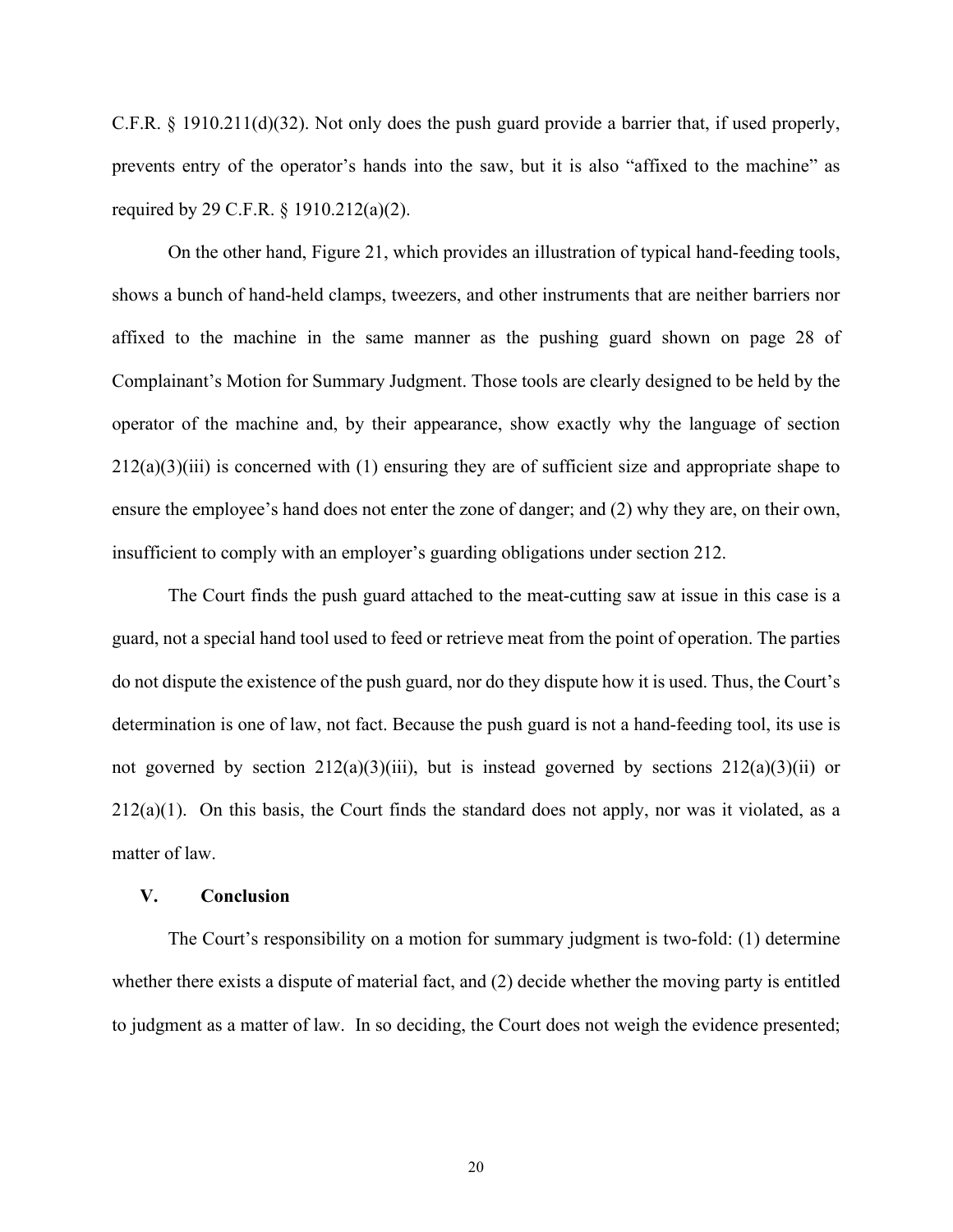C.F.R. § 1910.211(d)(32). Not only does the push guard provide a barrier that, if used properly, prevents entry of the operator's hands into the saw, but it is also "affixed to the machine" as required by 29 C.F.R. § 1910.212(a)(2).

 On the other hand, Figure 21, which provides an illustration of typical hand-feeding tools, shows a bunch of hand-held clamps, tweezers, and other instruments that are neither barriers nor affixed to the machine in the same manner as the pushing guard shown on page 28 of Complainant's Motion for Summary Judgment. Those tools are clearly designed to be held by the operator of the machine and, by their appearance, show exactly why the language of section  $212(a)(3)(iii)$  is concerned with (1) ensuring they are of sufficient size and appropriate shape to ensure the employee's hand does not enter the zone of danger; and (2) why they are, on their own, insufficient to comply with an employer's guarding obligations under section 212.

The Court finds the push guard attached to the meat-cutting saw at issue in this case is a guard, not a special hand tool used to feed or retrieve meat from the point of operation. The parties do not dispute the existence of the push guard, nor do they dispute how it is used. Thus, the Court's determination is one of law, not fact. Because the push guard is not a hand-feeding tool, its use is not governed by section  $212(a)(3)(iii)$ , but is instead governed by sections  $212(a)(3)(ii)$  or  $212(a)(1)$ . On this basis, the Court finds the standard does not apply, nor was it violated, as a matter of law.

#### **V. Conclusion**

The Court's responsibility on a motion for summary judgment is two-fold: (1) determine whether there exists a dispute of material fact, and (2) decide whether the moving party is entitled to judgment as a matter of law. In so deciding, the Court does not weigh the evidence presented;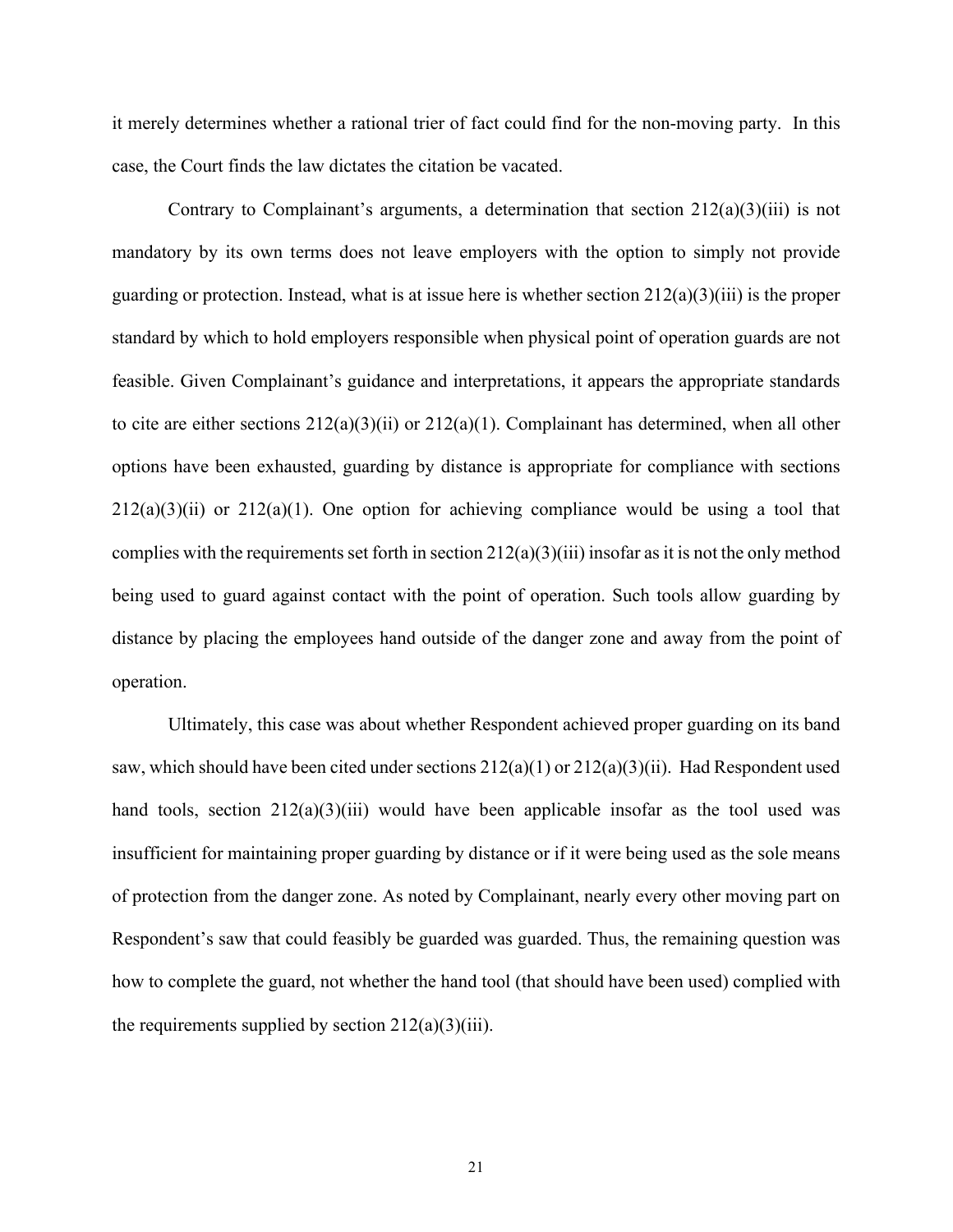it merely determines whether a rational trier of fact could find for the non-moving party. In this case, the Court finds the law dictates the citation be vacated.

Contrary to Complainant's arguments, a determination that section  $212(a)(3)(iii)$  is not mandatory by its own terms does not leave employers with the option to simply not provide guarding or protection. Instead, what is at issue here is whether section  $212(a)(3)(iii)$  is the proper standard by which to hold employers responsible when physical point of operation guards are not feasible. Given Complainant's guidance and interpretations, it appears the appropriate standards to cite are either sections 212(a)(3)(ii) or 212(a)(1). Complainant has determined, when all other options have been exhausted, guarding by distance is appropriate for compliance with sections  $212(a)(3)(ii)$  or  $212(a)(1)$ . One option for achieving compliance would be using a tool that complies with the requirements set forth in section  $212(a)(3)(iii)$  insofar as it is not the only method being used to guard against contact with the point of operation. Such tools allow guarding by distance by placing the employees hand outside of the danger zone and away from the point of operation.

Ultimately, this case was about whether Respondent achieved proper guarding on its band saw, which should have been cited under sections  $212(a)(1)$  or  $212(a)(3)(ii)$ . Had Respondent used hand tools, section  $212(a)(3)(iii)$  would have been applicable insofar as the tool used was insufficient for maintaining proper guarding by distance or if it were being used as the sole means of protection from the danger zone. As noted by Complainant, nearly every other moving part on Respondent's saw that could feasibly be guarded was guarded. Thus, the remaining question was how to complete the guard, not whether the hand tool (that should have been used) complied with the requirements supplied by section  $212(a)(3)(iii)$ .